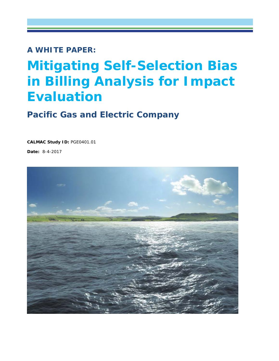**A WHITE PAPER:** 

# **Mitigating Self-Selection Bias in Billing Analysis for Impact Evaluation**

*Pacific Gas and Electric Company*

**CALMAC Study ID:** PGE0401.01

**Date:** 8-4-2017

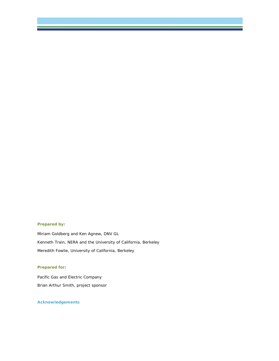#### **Prepared by:**

Miriam Goldberg and Ken Agnew, DNV GL Kenneth Train, NERA and the University of California, Berkeley Meredith Fowlie, University of California, Berkeley

#### **Prepared for:**

Pacific Gas and Electric Company Brian Arthur Smith, project sponsor

#### **Acknowledgements**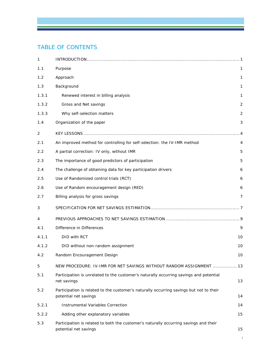# TABLE OF CONTENTS

| 1     |                                                                                                                  |    |
|-------|------------------------------------------------------------------------------------------------------------------|----|
| 1.1   | Purpose                                                                                                          | 1  |
| 1.2   | Approach                                                                                                         | 1  |
| 1.3   | Background                                                                                                       | 1  |
| 1.3.1 | Renewed interest in billing analysis                                                                             | 1  |
| 1.3.2 | Gross and Net savings                                                                                            | 2  |
| 1.3.3 | Why self-selection matters                                                                                       | 2  |
| 1.4   | Organization of the paper                                                                                        | 3  |
| 2     |                                                                                                                  |    |
| 2.1   | An improved method for controlling for self-selection: the IV-IMR method                                         | 4  |
| 2.2   | A partial correction: IV only, without IMR                                                                       | 5  |
| 2.3   | The importance of good predictors of participation                                                               | 5  |
| 2.4   | The challenge of obtaining data for key participation drivers                                                    | 6  |
| 2.5   | Use of Randomized control trials (RCT)                                                                           | 6  |
| 2.6   | Use of Random encouragement design (RED)                                                                         | 6  |
| 2.7   | Billing analysis for gross savings                                                                               | 7  |
| 3     |                                                                                                                  |    |
| 4     |                                                                                                                  |    |
| 4.1   | Difference in Differences                                                                                        | 9  |
| 4.1.1 | DID with RCT                                                                                                     | 10 |
| 4.1.2 | DID without non-random assignment                                                                                | 10 |
| 4.2   | Random Encouragement Design                                                                                      | 10 |
| 5     | NEW PROCEDURE: IV-IMR FOR NET SAVINGS WITHOUT RANDOM ASSIGNMENT  13                                              |    |
| 5.1   | Participation is unrelated to the customer's naturally occurring savings and potential<br>net savings            | 13 |
| 5.2   | Participation is related to the customer's naturally occurring savings but not to their<br>potential net savings | 14 |
| 5.2.1 | Instrumental Variables Correction                                                                                | 14 |
| 5.2.2 | Adding other explanatory variables                                                                               | 15 |
| 5.3   | Participation is related to both the customer's naturally occurring savings and their<br>potential net savings   | 15 |

i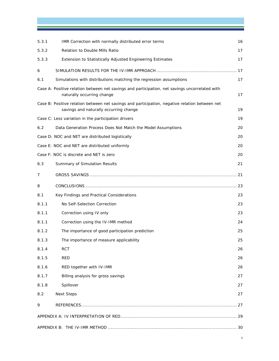| 5.3.1 | IMR Correction with normally distributed error terms                                                                                     | 16 |
|-------|------------------------------------------------------------------------------------------------------------------------------------------|----|
| 5.3.2 | Relation to Double Mills Ratio                                                                                                           | 17 |
| 5.3.3 | Extension to Statistically Adjusted Engineering Estimates                                                                                | 17 |
| 6     |                                                                                                                                          |    |
| 6.1   | Simulations with distributions matching the regression assumptions                                                                       | 17 |
|       | Case A: Positive relation between net savings and participation, net savings uncorrelated with<br>naturally occurring change             | 17 |
|       | Case B: Positive relation between net savings and participation, negative relation between net<br>savings and naturally occurring change | 19 |
|       | Case C: Less variation in the participation drivers                                                                                      | 19 |
| 6.2   | Data Generation Process Does Not Match the Model Assumptions                                                                             | 20 |
|       | Case D: NOC and NET are distributed logistically                                                                                         | 20 |
|       | Case E: NOC and NET are distributed uniformly                                                                                            | 20 |
|       | Case F: NOC is discrete and NET is zero                                                                                                  | 20 |
| 6.3   | Summary of Simulation Results                                                                                                            | 21 |
| 7     |                                                                                                                                          |    |
| 8     |                                                                                                                                          |    |
| 8.1   | Key Findings and Practical Considerations                                                                                                | 23 |
| 8.1.1 | No Self-Selection Correction                                                                                                             | 23 |
| 8.1.1 | Correction using IV only                                                                                                                 | 23 |
| 8.1.1 | Correction using the IV-IMR method                                                                                                       | 24 |
| 8.1.2 | The importance of good participation prediction                                                                                          | 25 |
| 8.1.3 | The importance of measure applicability                                                                                                  | 25 |
| 8.1.4 | <b>RCT</b>                                                                                                                               | 26 |
| 8.1.5 | RED                                                                                                                                      | 26 |
| 8.1.6 | RED together with IV-IMR                                                                                                                 | 26 |
| 8.1.7 | Billing analysis for gross savings                                                                                                       | 27 |
| 8.1.8 | Spillover                                                                                                                                | 27 |
| 8.2   | <b>Next Steps</b>                                                                                                                        | 27 |
| 9     |                                                                                                                                          |    |
|       |                                                                                                                                          |    |
|       |                                                                                                                                          |    |
|       |                                                                                                                                          |    |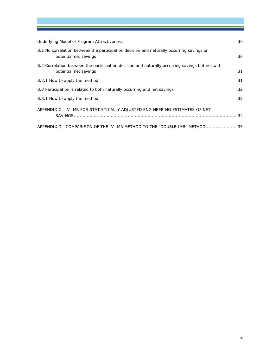| Underlying Model of Program Attractiveness                                                                        | 30 |
|-------------------------------------------------------------------------------------------------------------------|----|
| B.1 No correlation between the participation decision and naturally occurring savings or<br>potential net savings | 30 |
| B.2 Correlation between the participation decision and naturally occurring savings but not with                   |    |
| potential net savings                                                                                             | 31 |
| B.2.1 How to apply the method                                                                                     | 31 |
| B.3 Participation is related to both naturally occurring and net savings                                          | 32 |
| B.3.1 How to apply the method                                                                                     | 32 |
| APPENDIX C. IV-IMR FOR STATISTICALLY ADJUSTED ENGINEERING ESTIMATES OF NET                                        |    |
| APPENDIX D. COMPARISON OF THE IV-IMR METHOD TO THE "DOUBLE IMR" METHOD 35                                         |    |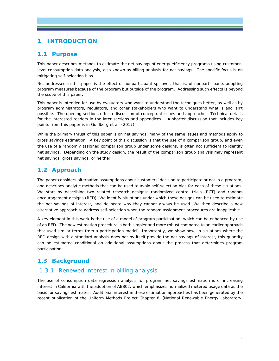# **1 INTRODUCTION**

### **1.1 Purpose**

This paper describes methods to estimate the net savings of energy efficiency programs using customerlevel consumption data analysis, also known as billing analysis for net savings. The specific focus is on mitigating self-selection bias.

Not addressed in this paper is the effect of nonparticipant spillover, that is, of nonparticipants adopting program measures because of the program but outside of the program. Addressing such effects is beyond the scope of this paper.

This paper is intended for use by evaluators who want to understand the techniques better, as well as by program administrators, regulators, and other stakeholders who want to understand what is and isn't possible. The opening sections offer a discussion of conceptual issues and approaches. Technical details for the interested readers in the later sections and appendices. A shorter discussion that includes key points from this paper is in Goldberg et al. (2017).

While the primary thrust of this paper is on net savings, many of the same issues and methods apply to gross savings estimation. A key point of this discussion is that the use of a comparison group, and even the use of a randomly assigned comparison group under some designs, is often not sufficient to identify net savings. Depending on the study design, the result of the comparison group analysis may represent net savings, gross savings, or neither.

# **1.2 Approach**

The paper considers alternative assumptions about customers' decision to participate or not in a program, and describes analytic methods that can be used to avoid self-selection bias for each of these situations. We start by describing two related research designs: randomized control trials (RCT) and random encouragement designs (RED). We identify situations under which these designs can be used to estimate the net savings of interest, and delineate why they cannot always be used. We then describe a new alternative approach to address self-selection when the random assignment procedures are inapplicable.

A key element in this work is the use of a model of program participation, which can be enhanced by use of an RED. The new estimation procedure is both simpler and more robust compared to an earlier approach that used similar terms from a participation model<sup>1</sup>. Importantly, we show how, in situations where the RED design with a standard analysis does not by itself provide the net savings of interest, this quantity can be estimated conditional on additional assumptions about the process that determines program participation.

# **1.3 Background**

-

## 1.3.1 Renewed interest in billing analysis

The use of consumption data regression analysis for program net savings estimation is of increasing interest in California with the adoption of AB802, which emphasizes normalized metered usage data as the basis for savings estimates. Additional interest in these estimation approaches has been generated by the recent publication of the Uniform Methods Project Chapter 8, (National Renewable Energy Laboratory.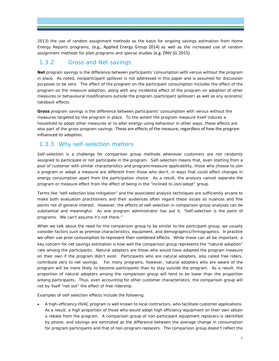2013) the use of random assignment methods as the basis for ongoing savings estimation from Home Energy Reports programs, (e.g., Applied Energy Group 2014) as well as the increased use of random assignment methods for pilot programs and special studies (e.g. DNV GL 2015).

# 1.3.2 Gross and Net savings

**Net** program savings is the difference between participants' consumption with versus without the *program* in place. As noted, nonparticipant spillover is not addressed in this paper and is assumed for discussion purposes to be zero. The effect of the program on the participant consumption includes the effect of the program on the measure adoption, along with any incidental effect of the program on adoption of other measures or behavioural modifications outside the program (participant spillover) as well as any economic takeback effects.

**Gross** program savings is the difference between participants' consumption with versus without the *measures* targeted by the program in place. To the extent the program measure itself induces a household to adopt other measures or to alter energy-using behaviour in other ways, these effects are also part of the gross program savings. These are effects of the measure, regardless of how the program influenced its adoption.

## 1.3.3 Why self-selection matters

Self-selection is a challenge for comparison group methods whenever customers are not randomly assigned to participate or not participate in the program. Self-selection means that, even starting from a pool of customer with similar characteristics and program/measure applicability, those who choose to join a program or adopt a measure are different from those who don't, in ways that could affect changes in energy consumption apart from the participation choice. As a result, the analysis cannot separate the program or measure effect from the effect of being in the "inclined to join/adopt" group.

Terms like "self-selection bias mitigation" and the associated analysis techniques are sufficiently arcane to make both evaluation practitioners and their audiences often regard these issues as nuances and fine points not of general interest. However, the effects of self-selection in comparison group analyses can be substantial and meaningful. As one program administrator has put it, "Self-selection is the point of programs. We can't assume it's not there."

When we talk about the need for the comparison group to be similar to the participant group, we usually consider factors such as premise characteristics, equipment, and demographics/firmographics. In practice we often use prior consumption to represent their combined effects. While these can all be important, a key concern for net savings estimation is how well the comparison group represents the "natural adoption" rate among the participants. Natural adopters are those who would have adopted the program measure on their own if the program didn't exist. Participants who are natural adopters, also called free riders, contribute zero to net savings. For many programs, however, natural adopters who are aware of the program will be more likely to become participants than to stay outside the program. As a result, the proportion of natural adopters among the comparison group will tend to be lower than the proportion among participants. Thus, even accounting for other customer characteristics, the comparison group will not by itself "net out" the effect of free ridership.

Examples of self-selection effects include the following:

 A high-efficiency HVAC program is well known to local contractors, who facilitate customer applications. As a result, a high proportion of those who would adopt high efficiency equipment on their own obtain a rebate from the program. A comparison group of non-participant equipment replacers is identified by phone, and savings are estimated as the difference between the average change in consumption for program participants and that of non-program replacers. The comparison group doesn't reflect the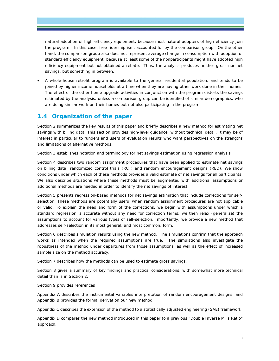natural adoption of high-efficiency equipment, because most natural adopters of high efficiency join the program. In this case, free ridership isn't accounted for by the comparison group. On the other hand, the comparison group also does not represent average change in consumption with adoption of standard efficiency equipment, because at least some of the nonparticipants might have adopted high efficiency equipment but not obtained a rebate. Thus, the analysis produces neither gross nor net savings, but something in between.

 A whole-house retrofit program is available to the general residential population, and tends to be joined by higher income households at a time when they are having other work done in their homes. The effect of the other home upgrade activities in conjunction with the program distorts the savings estimated by the analysis, unless a comparison group can be identified of similar demographics, who are doing similar work on their homes but not also participating in the program.

## **1.4 Organization of the paper**

Section 2 summarizes the key results of this paper and briefly describes a new method for estimating net savings with billing data. This section provides high-level guidance, without technical detail. It may be of interest in particular to funders and users of evaluation results who want perspectives on the strengths and limitations of alternative methods.

Section 3 establishes notation and terminology for net savings estimation using regression analysis.

Section 4 describes two random assignment procedures that have been applied to estimate net savings on billing data: randomized control trials (RCT) and random encouragement designs (RED). We show conditions under which each of these methods provides a valid estimate of net savings for all participants. We also describe situations where these methods must be augmented with additional assumptions or additional methods are needed in order to identify the net savings of interest.

Section 5 presents regression-based methods for net savings estimation that include corrections for selfselection. These methods are potentially useful when random assignment procedures are not applicable or valid. To explain the need and form of the corrections, we begin with assumptions under which a standard regression is accurate without any need for correction terms; we then relax (generalize) the assumptions to account for various types of self-selection. Importantly, we provide a new method that addresses self-selection in its most general, and most common, form.

Section 6 describes simulation results using the new method. The simulations confirm that the approach works as intended when the required assumptions are true. The simulations also investigate the robustness of the method under departures from those assumptions, as well as the effect of increased sample size on the method accuracy.

Section 7 describes how the methods can be used to estimate gross savings.

Section 8 gives a summary of key findings and practical considerations, with somewhat more technical detail than is in Section 2.

#### Section 9 provides references

Appendix A describes the instrumental variables interpretation of random encouragement designs, and Appendix B provides the formal derivation our new method.

Appendix C describes the extension of the method to a statistically adjusted engineering (SAE) framework.

Appendix D compares the new method introduced in this paper to a previous "Double Inverse Mills Ratio" approach.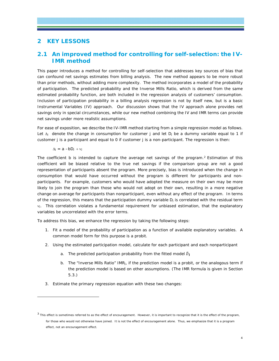#### **2 KEY LESSONS**

## **2.1 An improved method for controlling for self-selection: the IV-IMR method**

This paper introduces a method for controlling for self-selection that addresses key sources of bias that can confound net savings estimates from billing analysis. The new method appears to be more robust than prior methods, without adding more complexity. The method incorporates a model of the probability of participation. The predicted probability and the Inverse Mills Ratio, which is derived from the same estimated probability function, are both included in the regression analysis of customers' consumption. Inclusion of participation probability in a billing analysis regression is not by itself new, but is a basic Instrumental Variables (IV) approach. Our discussion shows that the IV approach alone provides net savings only in special circumstances, while our new method combining the IV and IMR terms can provide net savings under more realistic assumptions.

For ease of exposition, we describe the IV-IMR method starting from a simple regression model as follows. Let  $\Delta_i$  denote the change in consumption for customer j and let  $D_i$  be a dummy variable equal to 1 if customer j is a participant and equal to 0 if customer j is a non-participant. The regression is then:

$$
\Delta_j = a - bD_j + v_j
$$

-

The coefficient b is intended to capture the average net savings of the program.<sup>2</sup> Estimation of this coefficient will be biased relative to the true net savings if the comparison group are not a good representation of participants absent the program. More precisely, bias is introduced when the change in consumption that would have occurred without the program is different for participants and nonparticipants. For example, customers who would have adopted the measure on their own may be more likely to join the program than those who would not adopt on their own, resulting in a more negative change on average for participants than nonparticipant, even without any effect of the program. In terms of the regression, this means that the participation dummy variable  $D_i$  is correlated with the residual term  $v_i$ . This correlation violates a fundamental requirement for unbiased estimation, that the explanatory variables be uncorrelated with the error terms.

To address this bias, we enhance the regression by taking the following steps:

- 1. Fit a model of the probability of participation as a function of available explanatory variables. A common model form for this purpose is a probit.
- 2. Using the estimated participation model, calculate for each participant and each nonparticipant
	- a. The predicted participation probability from the fitted model  $\hat{D}_i$
	- b. The "Inverse Mills Ratio" IMR<sub>i</sub>, if the prediction model is a probit, or the analogous term if the prediction model is based on other assumptions. (The IMR formula is given in Section 5.3.)
- 3. Estimate the primary regression equation with these two changes:

 $3$  This effect is sometimes referred to as the effect of encouragement. However, it is important to recognize that it is the effect of the program, for those who would not otherwise have joined. It is not the effect of encouragement alone. Thus, we emphasize that it is a program effect, not an encouragement effect.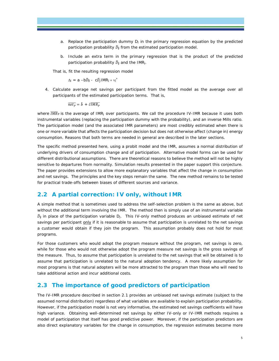- a. Replace the participation dummy  $D_i$  in the primary regression equation by the predicted participation probability  $\hat{D}_j$  from the estimated participation model.
- b. Include an extra term in the primary regression that is the product of the predicted participation probability  $\widehat{D}_i$  and the IMR<sub>i</sub>.

That is, fit the resulting regression model

 $\Delta j = a - b \widehat{D} j - c \widehat{D}_j 1 M R_j + v_j^*$ 

4. Calculate average net savings per participant from the fitted model as the average over all participants of the estimated participation terms. That is,

 $\overline{net_p} = \hat{b} + \hat{c} \overline{IMR_p}$ 

where  $\overline{IMR}_P$  is the average of IMR<sub>i</sub> over participants. We call the procedure IV-IMR because it uses both instrumental variables (replacing the participation dummy with the probability), and an inverse Mills ratio. The participation model (and the associated IMR parameters) are most credibly estimated when there is one or more variable that affects the participation decision but does not otherwise affect (change in) energy consumption. Reasons that both terms are needed in general are described in the later sections.

The specific method presented here, using a probit model and the IMR, assumes a normal distribution of underlying drivers of consumption change and of participation. Alternative model forms can be used for different distributional assumptions. There are theoretical reasons to believe the method will not be highly sensitive to departures from normality. Simulation results presented in the paper support this conjecture. The paper provides extensions to allow more explanatory variables that affect the change in consumption and net savings. The principles and the key steps remain the same. The new method remains to be tested for practical trade-offs between biases of different sources and variance.

#### **2.2 A partial correction: IV only, without IMR**

A simple method that is sometimes used to address the self-selection problem is the same as above, but without the additional term involving the IMR. The method then is simply use of an instrumental variable  $\hat{D}_i$  in place of the participation variable  $D_i$ . This IV-only method produces an unbiased estimate of net savings per participant only if it is reasonable to assume that participation is unrelated to the net savings a customer would obtain if they join the program. This assumption probably does not hold for most programs.

For those customers who would adopt the program measure without the program, net savings is zero, while for those who would not otherwise adopt the program measure net savings is the gross savings of the measure. Thus, to assume that participation is unrelated to the net savings that will be obtained is to assume that participation is unrelated to the natural adoption tendency. A more likely assumption for most programs is that natural adopters will be more attracted to the program than those who will need to take additional action and incur additional costs.

#### **2.3 The importance of good predictors of participation**

The IV-IMR procedure described in section 2.1 provides an unbiased net savings estimate (subject to the assumed normal distribution) regardless of what variables are available to explain participation probability. However, if the participation model is not very informative, the estimated net savings coefficients will have high variance. Obtaining well-determined net savings by either IV-only or IV-IMR methods requires a model of participation that itself has good predictive power. Moreover, if the participation predictors are also direct explanatory variables for the change in consumption, the regression estimates become more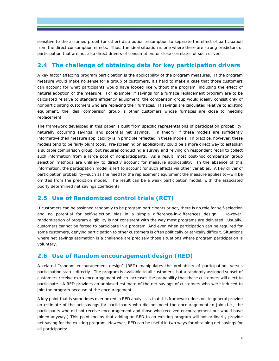sensitive to the assumed probit (or other) distribution assumption to separate the effect of participation from the direct consumption effects. Thus, the ideal situation is one where there are strong predictors of participation that are not also direct drivers of consumption, or close correlates of such drivers.

# **2.4 The challenge of obtaining data for key participation drivers**

A key factor affecting program participation is the applicability of the program measures. If the program measure would make no sense for a group of customers, it's hard to make a case that those customers can account for what participants would have looked like without the program, including the effect of natural adoption of the measure. For example, if savings for a furnace replacement program are to be calculated relative to standard efficiency equipment, the comparison group would ideally consist only of nonparticipating customers who are replacing their furnaces. If savings are calculated relative to existing equipment, the ideal comparison group is other customers whose furnaces are close to needing replacement.

The framework developed in this paper is built from specific representations of participation probability, naturally occurring savings, and potential net savings. In theory, if these models are sufficiently informative then measure applicability is in principle reflected in these models. In practice, however, these models tend to be fairly blunt tools. Pre-screening on applicability could be a more direct way to establish a suitable comparison group, but requires conducting a survey and relying on respondent recall to collect such information from a large pool of nonparticipants. As a result, most post-hoc comparison group selection methods are unlikely to directly account for measure applicability. In the absence of this information, the participation model is left to account for such effects via other variables. A key driver of participation probability—such as the need for the replacement equipment the measure applies to—will be omitted from the prediction model. The result can be a weak participation model, with the associated poorly determined net savings coefficients.

# **2.5 Use of Randomized control trials (RCT)**

If customers can be assigned randomly to be program participants or not, there is no role for self-selection and no potential for self-selection bias in a simple difference-in-differences design. However, randomization of program eligibility is not consistent with the way most programs are delivered. Usually, customers cannot be forced to participate in a program. And even when participation can be required for some customers, denying participation to other customers is often politically or ethically difficult. Situations where net savings estimation is a challenge are precisely those situations where program participation is voluntary.

## **2.6 Use of Random encouragement design (RED)**

A related "random encouragement design" (RED) manipulates the probability of participation, versus participation status directly. The program is available to all customers, but a randomly assigned subset of customers receive extra encouragement which increases the probability that these customers will elect to participate. A RED provides an unbiased estimate of the net savings of customers who were induced to join the program because of the encouragement.

A key point that is sometimes overlooked in RED analysis is that this framework does not in general provide an estimate of the net savings for participants who did not need the encouragement to join (i.e., the participants who did not receive encouragement and those who received encouragement but would have joined anyway.) This point means that adding an RED to an existing program will not ordinarily provide net saving for the existing program. However, RED can be useful in two ways for obtaining net savings for all participants: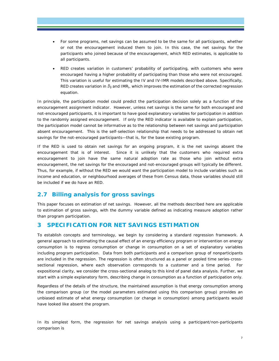- For some programs, net savings can be assumed to be the same for all participants, whether or not the encouragement induced them to join. In this case, the net savings for the participants who joined because of the encouragement, which RED estimates, is applicable to all participants.
- RED creates variation in customers' probability of participating, with customers who were encouraged having a higher probability of participating than those who were not encouraged. This variation is useful for estimating the IV and IV-IMR models described above. Specifically, RED creates variation in  $\hat{D}_j$  and IMR<sub>i</sub>, which improves the estimation of the corrected regression equation.

In principle, the participation model could predict the participation decision solely as a function of the encouragement assignment indicator. However, unless net savings is the same for both encouraged and not-encouraged participants, it is important to have good explanatory variables for participation *in addition to* the randomly assigned encouragement. If only the RED indicator is available to explain participation, the participation model cannot be informative as to the relationship between net savings and participation absent encouragement. This is the self-selection relationship that needs to be addressed to obtain net savings for the not-encouraged participants—that is, for the base existing program.

If the RED is used to obtain net savings for an ongoing program, it is the net savings absent the encouragement that is of interest. Since it is unlikely that the customers who required extra encouragement to join have the same natural adoption rate as those who join without extra encouragement, the net savings for the encouraged and not-encouraged groups will typically be different. Thus, for example, if without the RED we would want the participation model to include variables such as income and education, or neighbourhood averages of these from Census data, those variables should still be included if we do have an RED.

## **2.7 Billing analysis for gross savings**

This paper focuses on estimation of net savings. However, all the methods described here are applicable to estimation of gross savings, with the dummy variable defined as indicating measure adoption rather than program participation.

## **3 SPECIFICATION FOR NET SAVINGS ESTIMATION**

To establish concepts and terminology, we begin by considering a standard regression framework. A general approach to estimating the causal effect of an energy efficiency program or intervention on energy consumption is to regress consumption or change in consumption on a set of explanatory variables including program participation. Data from both participants and a comparison group of nonparticipants are included in the regression. The regression is often structured as a panel or pooled time series-crosssectional regression, where each observation corresponds to a customer and a time period. For expositional clarity, we consider the cross-sectional analog to this kind of panel data analysis. Further, we start with a simple explanatory form, describing change in consumption as a function of participation only.

Regardless of the details of the structure, the maintained assumption is that energy consumption among the comparison group (or the model parameters estimated using this comparison group) provides an unbiased estimate of what energy consumption (or change in consumption) among participants would have looked like absent the program.

In its simplest form, the regression for net savings analysis using a participant/non-participants comparison is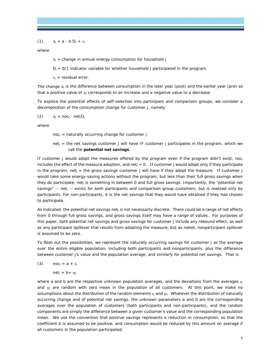$$
(1) \qquad \Delta_j = a - b \ D_j + v_j
$$

where

 $\Delta j$  = change in annual energy consumption for household j

 $D_i = 0/1$  indicator variable for whether household j participated in the program.

 $v_j$  = residual error.

The change  $\Delta_i$  is the difference between consumption in the later year (post) and the earlier year (pre) so that a positive value of  $\Delta j$  corresponds to an increase and a negative value to a decrease.

To explore the potential effects of self-selection into participant and comparison groups, we consider a decomposition of the consumption change for customer j, namely

(2)  $\Delta_i$  = noc<sub>i</sub> - net<sub>i</sub>D<sub>i</sub>

where

 $noc<sub>i</sub>$  = naturally occurring change for customer j.

 $net_i$  = the net savings customer j will have IF customer j participates in the program, which we call the **potential net savings**.

If customer j would adopt the measures offered by the program even if the program didn't exist, noci includes the effect of the measure adoption, and net<sub> $i$ </sub> = 0. If customer j would adopt only if they participate in the program, net<sub>j</sub> = the gross savings customer j will have if they adopt the measure. If customer j would take some energy-saving actions without the program, but less than their full gross savings when they do participate, net<sub>i</sub> is something in between 0 and full gross savings. Importantly, the "potential net savings"  $-$ - net<sub>i</sub>  $-$  exists for both participants and comparison group customers, but is realized only by participants. For non-participants, it is the net savings that they *would have* obtained if they had chosen to participate.

As indicated, the potential net savings net<sub>i</sub> is not necessarily discrete. There could be a range of net effects from 0 through full gross savings, and gross savings itself may have a range of values. For purposes of this paper, both potential net savings and gross savings for customer j include any rebound effect, as well as any participant spillover that results from adopting the measure, but as noted, nonparticipant spillover is assumed to be zero.

To flesh out the possibilities, we represent the naturally occurring savings for customer j as the average over the entire eligible population, including both participants and nonparticipants, plus the difference between customer j's value and the population average, and similarly for potential net savings. That is

(3)  $noc_i = a + \varepsilon_i$ 

$$
net_j = b + \psi_j
$$

where a and b are the respective unknown population averages, and the deviations from the averages  $\varepsilon_i$ and  $\psi_i$  are random with zero mean in the population of all customers. At this point, we make no assumptions about the distribution of the random elements  $\varepsilon_j$  and  $\psi_j$ . Whatever the distribution of naturally occurring change and of potential net savings, the unknown parameters a and b are the corresponding averages over the population of customers (both participants and non-participants), and the random components are simply the difference between a given customer's value and the corresponding population mean. We use the convention that positive savings represents a reduction in consumption, so that the coefficient b is assumed to be positive, and consumption would be reduced by this amount on average if all customers in the population participated.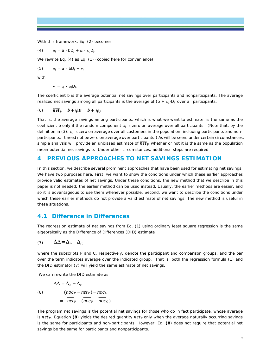With this framework, Eq. (2) becomes

(4) 
$$
\Delta_j = a - bD_j + \epsilon_j - \psi_j D_j.
$$

We rewrite Eq. (4) as Eq. (1) (copied here for convenience)

(5) 
$$
\Delta_j = a - bD_j + v_j
$$

with

$$
\nu_j\,=\,\epsilon_j\,\text{-}\,\,\psi_jD_j.
$$

The coefficient b is the average potential net savings over participants *and* nonparticipants. The average realized net savings among all participants is the average of  $(b + \psi_j)D_j$  over all participants.

$$
(6) \qquad \overline{net}_P = \overline{b + \psi D} = b + \overline{\psi}_P
$$

That is, the average savings among participants, which is what we want to estimate, is the same as the coefficient b only if the random component  $\psi_i$  is zero on average over all participants. (Note that, by the definition in (3),  $\psi_j$  is zero on average over all customers in the population, including participants and nonparticipants. It need not be zero on average over participants.) As will be seen, under certain circumstances, simple analysis will provide an unbiased estimate of  $\overline{net}_P$  whether or not it is the same as the population mean potential net savings b. Under other circumstances, additional steps are required.

#### **4 PREVIOUS APPROACHES TO NET SAVINGS ESTIMATION**

In this section, we describe several prominent approaches that have been used for estimating net savings. We have two purposes here. First, we want to show the conditions under which these earlier approaches provide valid estimates of net savings. Under these conditions, the new method that we describe in this paper is not needed: the earlier method can be used instead. Usually, the earlier methods are easier, and so it is advantageous to use them whenever possible. Second, we want to describe the conditions under which these earlier methods do not provide a valid estimate of net savings. The new method is useful in these situations.

#### **4.1 Difference in Differences**

The regression estimate of net savings from Eq. (1) using ordinary least square regression is the same algebraically as the Difference of Differences (DID) estimate

$$
(7) \qquad \Delta \Delta = \overline{\Delta}_P - \overline{\Delta}_C
$$

where the subscripts P and C, respectively, denote the participant and comparison groups, and the bar over the term indicates average over the indicated group. That is, both the regression formula (1) and the DID estimator (7) will yield the same estimate of net savings.

We can rewrite the DID estimate as:

(8) 
$$
\Delta \Delta = \overline{\Delta}_P - \overline{\Delta}_C
$$

$$
= (\overline{noc}_P - \overline{net}_P) - \overline{noc}_C
$$

$$
= -\overline{net}_P + (\overline{noc}_P - \overline{noc}_C)
$$

The program net savings is the potential net savings for those who do in fact participate, whose average is  $\overline{net}_P$ . Equation **(8)** yields the desired quantity  $\overline{net}_P$  only when the average naturally occurring savings is the same for participants and non-participants. However, Eq. **(8**) does not require that potential net savings be the same for participants and nonparticipants.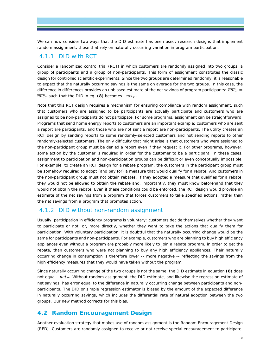We can now consider two ways that the DID estimate has been used: research designs that implement random assignment, those that rely on naturally occurring variation in program participation.

## 4.1.1 DID with RCT

Consider a randomized control trial (RCT) in which customers are randomly assigned into two groups, a group of participants and a group of non-participants. This form of assignment constitutes the classic design for controlled scientific experiments. Since the two groups are determined randomly, it is reasonable to expect that the naturally occurring savings is the same on average for the two groups. In this case, the difference in differences provides an unbiased estimate of the net savings of program participants:  $\overline{n_0c_p}$  =  $\overline{noc}_\mathcal{C}$  such that the DID in eq. **(8**) becomes  $-\overline{net}_\mathcal{P}.$ 

Note that this RCT design requires a mechanism for ensuring compliance with random assignment, such that customers who are assigned to be participants are actually participate and customers who are assigned to be non-participants do not participate. For some programs, assignment can be straightforward. Programs that send home energy reports to customers are an important example: customers who are sent a report are participants, and those who are not sent a report are non-participants. The utility creates an RCT design by sending reports to some randomly-selected customers and not sending reports to other randomly-selected customers. The only difficulty that might arise is that customers who were assigned to the non-participant group must be denied a report even if they request it. For other programs, however, some action by the customer is required in order for the customer to be a participant. In these cases, assignment to participation and non-participation groups can be difficult or even conceptually impossible. For example, to create an RCT design for a rebate program, the customers in the participant group must be somehow required to adopt (and pay for) a measure that would qualify for a rebate. And customers in the non-participant group must not obtain rebates. If they adopted a measure that qualifies for a rebate, they would not be allowed to obtain the rebate and, importantly, they must know beforehand that they would not obtain the rebate. Even if these conditions could be enforced, the RCT design would provide an estimate of the net savings from a program that forces customers to take specified actions, rather than the net savings from a program that promotes action.

#### 4.1.2 DID without non-random assignment

Usually, participation in efficiency programs is voluntary: customers decide themselves whether they want to participate or not, or, more directly, whether they want to take the actions that qualify them for participation. With voluntary participation, it is doubtful that the naturally occurring change would be the same for participants and non-participants. For example, customers who are planning to buy high efficiency appliances even without a program are probably more likely to join a rebate program, in order to get the rebate, than customers who were not planning to buy any high efficiency appliances. Their naturally occurring change in consumption is therefore lower -- more negative -- reflecting the savings from the high efficiency measures that they would have taken without the program.

Since naturally occurring change of the two groups is not the same, the DID estimate in equation **(8**) does not equal  $-\overline{net}_P.$  Without random assignment, the DID estimate, and likewise the regression estimate of net savings, has error equal to the difference in naturally occurring change between participants and nonparticipants. The DID or simple regression estimator is biased by the amount of the expected difference in naturally occurring savings, which includes the differential rate of natural adoption between the two groups. Our new method corrects for this bias.

## **4.2 Random Encouragement Design**

Another evaluation strategy that makes use of random assignment is the Random Encouragement Design (RED). Customers are randomly assigned to receive or not receive special encouragement to participate.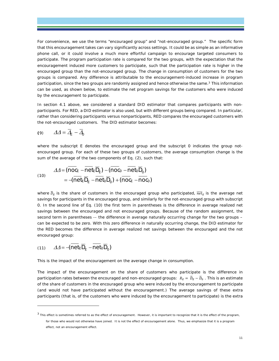For convenience, we use the terms "encouraged group" and "not-encouraged group." The specific form that this encouragement takes can vary significantly across settings. It could be as simple as an informative phone call, or it could involve a much more effortful campaign to encourage targeted consumers to participate. The program participation rate is compared for the two groups, with the expectation that the encouragement induced more customers to participate, such that the participation rate is higher in the encouraged group than the not-encouraged group. The change in consumption of customers for the two groups is compared. Any difference is attributable to the encouragement-induced increase in program participation, since the two groups are randomly assigned and hence otherwise the same.<sup>3</sup> This information can be used, as shown below, to estimate the net program savings for the customers who were induced by the encouragement to participate.

In section 4.1 above, we considered a standard DID estimator that compares participants with nonparticipants. For RED, a DID estimator is also used, but with different groups being compared. In particular, rather than considering participants versus nonparticipants, RED compares the encouraged customers with the not-encouraged customers. The DID estimator becomes:

$$
(9) \qquad \Delta A = \overline{A}_t - \overline{A}_0
$$

where the subscript E denotes the encouraged group and the subscript 0 indicates the group notencouraged group. For each of these two groups of customers, the average consumption change is the sum of the average of the two components of Eq. (2), such that:

(10) 
$$
\Delta \Delta = (\overline{\text{noc}}_E - \overline{\text{ne}}_E \overline{D}_E) - (\overline{\text{noc}}_0 - \overline{\text{ne}}_0 \overline{D}_0)
$$

$$
= -(\overline{\text{ne}}_E \overline{D}_E - \overline{\text{ne}}_0 \overline{D}_0) + (\overline{\text{noc}}_E - \overline{\text{noc}}_0)
$$

where  $\bar{D}_E$  is the share of customers in the encouraged group who participated,  $\bar{n}et_E$  is the average net savings for participants in the encouraged group, and similarly for the not-encouraged group with subscript 0. In the second line of Eq. (10) the first term in parentheses is the difference in average realized net savings between the encouraged and not encouraged groups. Because of the random assignment, the second term in parentheses -- the difference in average naturally occurring change for the two groups can be expected to be zero. With this zero difference in naturally occurring change, the DID estimator for the RED becomes the difference in average realized net savings between the encouraged and the not encouraged group:

(11) 
$$
\Delta \Delta = -(\overline{\text{net}}_E \overline{D}_E - \overline{\text{net}}_0 \overline{D}_0)
$$

-

This is the impact of the encouragement on the average change in consumption.

The impact of the encouragement on the share of customers who participate is the difference in participation rates between the encouraged and non-encouraged groups:  $R_E = \overline{D}_E - \overline{D}_0$ . This is an estimate of the share of customers in the encouraged group who were induced by the encouragement to participate (and would not have participated without the encouragement.) The average savings of these extra participants (that is, of the customers who were induced by the encouragement to participate) is the extra

 $3$  This effect is sometimes referred to as the effect of encouragement. However, it is important to recognize that it is the effect of the program, for those who would not otherwise have joined. It is not the effect of encouragement alone. Thus, we emphasize that it is a program effect, not an encouragement effect.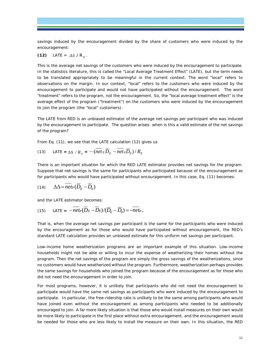savings induced by the encouragement divided by the share of customers who were induced by the encouragement:

#### **(12)** LATE =  $\Delta\Delta$  / R<sub>F</sub>.

This is the average net savings of the customers who were induced by the encouragement to participate. In the statistics literature, this is called the "Local Average Treatment Effect" (LATE), but the term needs to be translated appropriately to be meaningful in the current context. The word "local" refers to observations on the margin. In our context, "local" refers to the customers who were induced by the encouragement to participate and would not have participated without the encouragement. The word "treatment" refers to the program, not the encouragement. So, the "local average treatment effect" is the average effect of the program ("treatment") on the customers who were induced by the encouragement to join the program (the "local" customers).

The LATE from RED is an unbiased estimator of the average net savings per participant who was induced by the encouragement to participate. The question arises: when is this a valid estimate of the net savings of the program?

From Eq. (11), we see that the LATE calculation (12) gives us

(13) 
$$
LATE = \Delta \Delta / R_E = -(net_E D_E - net_0 D_0) / R_E
$$

There is an important situation for which the RED LATE estimator provides net savings for the program. Suppose that net savings is the same for participants who participated because of the encouragement as for participants who would have participated without encouragement. In this case, Eq. (11) becomes:

(14) 
$$
\Delta \Delta = \overline{net_P}(\overline{D}_E - \overline{D}_0)
$$

and the LATE estimator becomes:

(15) 
$$
LATE = -\overline{net_P}(\overline{D}_E - \overline{D}_0)/(\overline{D}_E - \overline{D}_0) = -\overline{net_P}.
$$

That is, when the average net savings per participant is the same for the participants who were induced by the encouragement as for those who would have participated without encouragement, the RED's standard LATE calculation provides an unbiased estimate for this uniform net savings per participant.

Low-income home weatherization programs are an important example of this situation. Low-income households might not be able or willing to incur the expense of weatherizing their homes without the program. Then the net savings of the program are simply the gross savings of the weatherizations, since no customers would have weatherized without the program. Furthermore, weatherization perhaps provides the same savings for households who joined the program because of the encouragement as for those who did not need the encouragement in order to join.

For most programs, however, it is unlikely that participants who did not need the encouragement to participate would have the same net savings as participants who were induced by the encouragement to participate. In particular, the free-ridership rate is unlikely to be the same among participants who would have joined even without the encouragement as among participants who needed to be additionally encouraged to join. A far more likely situation is that those who would install measures on their own would be more likely to participate in the first place without extra encouragement, and the encouragement would be needed for those who are less likely to install the measure on their own. In this situation, the RED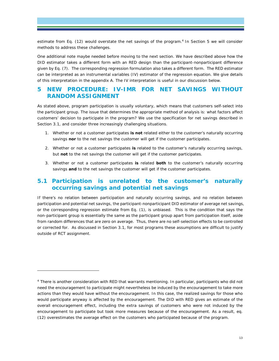estimate from Eq. (12) would overstate the net savings of the program.<sup>4</sup> In Section 5 we will consider methods to address these challenges.

One additional note maybe needed before moving to the next section. We have described above how the DID estimator takes a different form with an RED design than the participant-nonparticipant difference given by Eq. (7). The corresponding regression formulation also takes a different form. The RED estimator can be interpreted as an instrumental variables (IV) estimator of the regression equation. We give details of this interpretation in the appendix A. The IV interpretation is useful in our discussion below.

## **5 NEW PROCEDURE: IV-IMR FOR NET SAVINGS WITHOUT RANDOM ASSIGNMENT**

As stated above, program participation is usually voluntary, which means that customers self-select into the participant group. The issue that determines the appropriate method of analysis is: what factors affect customers' decision to participate in the program? We use the specification for net savings described in Section 3.1, and consider three increasingly challenging situations.

- 1. Whether or not a customer participates **is not** related either to the customer's naturally occurring savings *nor* to the net savings the customer will get if the customer participates.
- 2. Whether or not a customer participates **is** related to the customer's naturally occurring savings, but **not** to the net savings the customer will get if the customer participates.
- 3. Whether or not a customer participates **is** related **both** to the customer's naturally occurring savings **and** to the net savings the customer will get if the customer participates.

## **5.1 Participation is unrelated to the customer's naturally occurring savings and potential net savings**

If there's no relation between participation and naturally occurring savings, and no relation between participation and potential net savings, the participant-nonparticipant DID estimator of average net savings, or the corresponding regression estimate from Eq. (1), is unbiased. This is the condition that says the non-participant group is essentially the same as the participant group apart from participation itself, aside from random differences that are zero on average. Thus, there are no self-selection effects to be controlled or corrected for. As discussed in Section 3.1, for most programs these assumptions are difficult to justify outside of RCT assignment.

-

<sup>4</sup> There is another consideration with RED that warrants mentioning. In particular, participants who did not need the encouragement to participate might nevertheless be induced by the encouragement to take more actions than they would have without the encouragement. In this case, the realized savings for those who would participate anyway is affected by the encouragement. The DID with RED gives an estimate of the overall encouragement effect, including the extra savings of customers who were *not* induced by the encouragement to participate but took more measures because of the encouragement. As a result, eq. (12) overestimates the average effect on the customers who participated because of the program.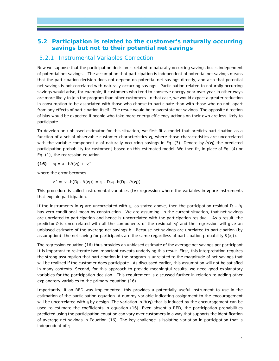## **5.2 Participation is related to the customer's naturally occurring savings but not to their potential net savings**

#### 5.2.1 Instrumental Variables Correction

Now we suppose that the participation decision is related to naturally occurring savings but is independent of potential net savings. The assumption that participation is independent of potential net savings means that the participation decision does not depend on potential net savings directly, and also that potential net savings is not correlated with naturally occurring savings. Participation related to naturally occurring savings would arise, for example, if customers who tend to conserve energy year over year in other ways are more likely to join the program than other customers. In that case, we would expect a greater reduction in consumption to be associated with those who choose to participate than with those who do not, apart from any effects of participation itself. The result would be to overstate net savings. The opposite direction of bias would be expected if people who take more energy efficiency actions on their own are less likely to participate.

To develop an unbiased estimator for this situation, we first fit a model that predicts participation as a function of a set of observable customer characteristics **zj**, where those characteristics are uncorrelated with the variable component  $\varepsilon_j$  of naturally occurring savings in Eq. (3). Denote by  $\widehat{D}(z_j)$  the predicted participation probability for customer j based on this estimated model. We then fit, in place of Eq. (4) or Eq. (1), the regression equation

**(16)**  $\Delta i = a - b \hat{D}(z_i) + v_i^*$ 

where the error becomes

$$
v_j^* = v_j - b(D_j - \widehat{D}(z_j)) = \epsilon_j - D_j \psi_j - b(D_j - \widehat{D}(z_j))
$$

This procedure is called instrumental variables (IV) regression where the variables in **zj** are instruments that explain participation.

If the instruments in  $z_j$  are uncorrelated with  $\varepsilon_j$ , as stated above, then the participation residual  $D_j - \hat{D}j$ has zero conditional mean by construction. We are assuming, in the current situation, that net savings are unrelated to participation and hence is uncorrelated with the participation residual. As a result, the predictor  $\hat{D}$  is uncorrelated with all the components of the residual  $v_j^*$  and the regression will give an unbiased estimate of the average net savings *b*. Because net savings are unrelated to participation (by assumption), the net saving for participants are the same regardless of participation probability  $\widehat{D}(z_j)$ ).

The regression equation (16) thus provides an unbiased estimate of the average net savings per participant. It is important to re-iterate two important caveats underlying this result. First, this interpretation requires the strong assumption that participation in the program is unrelated to the magnitude of net savings that will be realized if the customer does participate. As discussed earlier, this assumption will not be satisfied in many contexts. Second, for this approach to provide meaningful results, we need good explanatory variables for the participation decision. This requirement is discussed further in relation to adding other explanatory variables to the primary equation (16).

Importantly, if an RED was implemented, this provides a potentially useful instrument to use in the estimation of the participation equation. A dummy variable indicating assignment to the encouragement will be uncorrelated with  $\varepsilon_i$  by design. The variation in  $\hat{D}(z_i)$  that is induced by the encouragement can be used to estimate the coefficients in equation (16). Even absent a RED, the participation probabilities predicted using the participation equation can vary over customers in a way that supports the identification of average net savings in Equation (16). The key challenge is isolating variation in participation that is independent of  $\varepsilon_{j}$ .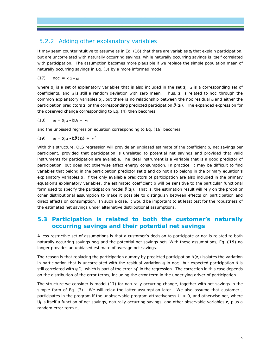#### 5.2.2 Adding other explanatory variables

It may seem counterintuitive to assume as in Eq. (16) that there are variables **zj** that explain participation, but are uncorrelated with naturally occurring savings, while naturally occurring savings is itself correlated with participation. The assumption becomes more plausible if we replace the simple population mean of naturally occurring savings in Eq. (3) by a more informed model

 $(17)$  noc<sub>i</sub> =  $x_i\alpha + \varepsilon_i$ 

where  $x_j$  is a set of explanatory variables that is also included in the set  $z_j$ ,  $\alpha$  is a corresponding set of coefficients, and  $\varepsilon_i$  is still a random deviation with zero mean. Thus,  $z_i$  is related to noc<sub>i</sub> through the common explanatory variables  $x_j$ , but there is no relationship between the noc residual  $\varepsilon_j$  and either the participation predictors  $z_j$  or the corresponding predicted participation  $\widehat{D}(z_j)$ . The expanded expression for the observed change corresponding to Eq. (4) then becomes

$$
(18) \qquad \Delta_j = \mathbf{x}_j \alpha - bD_j + v_j
$$

and the unbiased regression equation corresponding to Eq. (16) becomes

$$
(19) \qquad \Delta_j = \mathbf{x}_j \alpha - b \widehat{D}(\mathbf{z}_j) + v_j^*
$$

With this structure, OLS regression will provide an unbiased estimate of the coefficient b, net savings per participant, *provided* that participation is unrelated to potential net savings and provided that valid instruments for participation are available. The ideal instrument is a variable that is a good predictor of participation, but does not otherwise affect energy consumption. In practice, it may be difficult to find variables that belong in the participation predictor set **z** and do not also belong in the primary equation's explanatory variables **x**. If the only available predictors of participation are also included in the primary equation's explanatory variables, the estimated coefficient b will be sensitive to the particular functional form used to specify the participation model  $\hat{D}(z_j)$ . That is, the estimation result will rely on the probit or other distributional assumption to make it possible to distinguish between effects on participation and direct effects on consumption. In such a case, it would be important to at least test for the robustness of the estimated net savings under alternative distributional assumptions.

### **5.3 Participation is related to both the customer's naturally occurring savings and their potential net savings**

A less restrictive set of assumptions is that a customer's decision to participate or not is related to both naturally occurring savings nocj and the potential net savings netj. With these assumptions, Eq. **(19**) no longer provides an unbiased estimate of average net savings.

The reason is that replacing the participation dummy by predicted participation  $\widehat{D}(z_i)$  isolates the variation in participation that is uncorrelated with the residual variation  $\varepsilon_j$  in noc<sub>j</sub>, but expected participation  $\hat{D}$  is still correlated with  $\psi_j D_j$ , which is part of the error  $v_j^*$  in the regression. The correction in this case depends on the distribution of the error terms, including the error term in the underlying driver of participation.

The structure we consider is model (17) for naturally occurring change, together with net savings in the simple form of Eq. (3). We will relax the latter assumption later. We also assume that customer j participates in the program if the unobservable program attractiveness  $U_i > 0$ , and otherwise not, where Uj is itself a function of net savings, naturally occurring savings, and other observable variables **z**, plus a random error term  $\eta_i$ .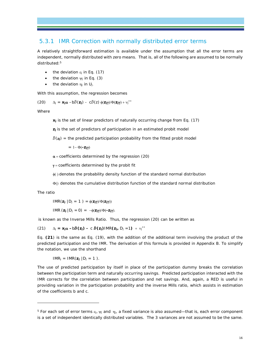#### 5.3.1 IMR Correction with normally distributed error terms

A relatively straightforward estimation is available under the assumption that all the error terms are independent, normally distributed with zero means. That is, all of the following are assumed to be normally distributed:<sup>5</sup>

- the deviation  $\varepsilon_j$  in Eq. (17)
- the deviation  $\psi$  in Eq. (3)
- the deviation  $\eta_i$  in U<sub>i.</sub>

With this assumption, the regression becomes

$$
(20) \qquad \Delta_j \,=\, \textbf{x}_j \alpha \,- b \widehat{D}\left(\textbf{z}_j\right) \,\textcolor{black}{\textbf{.}} \ \, c \widehat{D}\left(\textbf{z}\right) \, \phi(\textbf{z}_j \gamma) / \Phi(\textbf{z}_j \gamma) + \nu_j^{\,\star\,\star}
$$

Where

**xj** is the set of linear predictors of naturally occurring change from Eq. (17)

**z**<sub>j</sub> is the set of predictors of participation in an estimated probit model

 $\hat{D}(z_j)$  = the predicted participation probability from the fitted probit model

 $= 1 - \Phi(-\mathbf{Z}j\gamma)$ 

 $\alpha$  = coefficients determined by the regression (20)

 $y =$  coefficients determined by the probit fit

 $\phi$ () denotes the probability density function of the standard normal distribution

 $\Phi$ () denotes the cumulative distribution function of the standard normal distribution

The ratio

-

 $IMR(z_j | D_j = 1) = \phi(z_j \gamma) / \Phi(z_j \gamma)$ 

 $IMR$  ( $\mathbf{z}_j | D_j = 0$ ) =  $-\phi(\mathbf{z}_j \gamma)/\Phi(-\mathbf{z}_j \gamma)$ .

is known as the Inverse Mills Ratio. Thus, the regression (20) can be written as

 $(21)$   $\Delta_j = \mathbf{x}_j \mathbf{\alpha} - b\widehat{\mathbf{D}}(\mathbf{z}_j) - c \widehat{\mathbf{D}}(\mathbf{z}_j)$ IMR $(\mathbf{z}_j, D_j = 1) + v_j^{**}$ 

Eq. **(21**) is the same as Eq. (19), with the addition of the additional term involving the product of the predicted participation and the IMR. The derivation of this formula is provided in Appendix B. To simplify the notation, we use the shorthand

 $IMR_j = IMR(**z**<sub>j</sub> |**D**<sub>j</sub> = 1).$ 

The use of predicted participation by itself in place of the participation dummy breaks the correlation between the participation term and naturally occurring savings. Predicted participation interacted with the IMR corrects for the correlation between participation and net savings. And, again, a RED is useful in providing variation in the participation probability and the inverse Mills ratio, which assists in estimation of the coefficients b and c.

<sup>&</sup>lt;sup>5</sup> For each set of error terms  $\varepsilon_i$ ,  $\psi_i$  and  $\eta_i$ , a fixed variance is also assumed—that is, each error component is a set of independent identically distributed variables. The 3 variances are not assumed to be the same.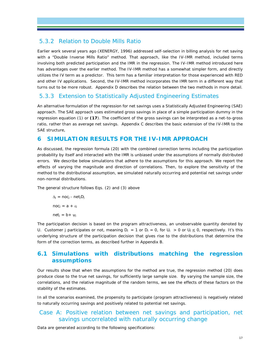## 5.3.2 Relation to Double Mills Ratio

Earlier work several years ago (XENERGY, 1996) addressed self-selection in billing analysis for net saving with a "Double Inverse Mills Ratio" method. That approach, like the IV-IMR method, included terms involving both predicted participation and the IMR in the regression. The IV-IMR method introduced here has advantages over the earlier method. The IV-IMR method has a somewhat simpler form, and directly utilizes the IV term as a predictor. This term has a familiar interpretation for those experienced with RED and other IV applications. Second, the IV-IMR method incorporates the IMR term in a different way that turns out to be more robust. Appendix D describes the relation between the two methods in more detail.

#### 5.3.3 Extension to Statistically Adjusted Engineering Estimates

An alternative formulation of the regression for net savings uses a Statistically Adjusted Engineering (SAE) approach. The SAE approach uses estimated gross savings in place of a simple participation dummy in the regression equation (1) or **(17**). The coefficient of the gross savings can be interpreted as a net-to-gross ratio, rather than as average net savings. Appendix C describes the basic extension of the IV-IMR to the SAE structure,

#### **6 SIMULATION RESULTS FOR THE IV-IMR APPROACH**

As discussed, the regression formula (20) with the combined correction terms including the participation probability by itself and interacted with the IMR is unbiased under the assumptions of normally distributed errors. We describe below simulations that adhere to the assumptions for this approach. We report the effects of varying the magnitude and direction of correlations. Then, to explore the sensitivity of the method to the distributional assumption, we simulated naturally occurring and potential net savings under non-normal distributions.

The general structure follows Eqs. (2) and (3) above

 $\Delta j$  = noc<sub>j</sub> - net<sub>j</sub>D<sub>j</sub>  $noc_j = a + \varepsilon_j$  $net_j = b + \psi_j$ 

The participation decision is based on the program attractiveness, an unobservable quantity denoted by U. Customer j participates or not, meaning  $D_j = 1$  or  $D_j = 0$ , for  $U_j > 0$  or  $U_j \le 0$ , respectively. It's this underlying structure of the participation decision that gives rise to the distributions that determine the form of the correction terms, as described further in Appendix B.

## **6.1 Simulations with distributions matching the regression assumptions**

Our results show that when the assumptions for the method are true, the regression method (20) does produce close to the true net savings, for sufficiently large sample size. By varying the sample size, the correlations, and the relative magnitude of the random terms, we see the effects of these factors on the stability of the estimates.

In all the scenarios examined, the propensity to participate (program attractiveness) is negatively related to naturally occurring savings and positively related to potential net savings.

## Case A: Positive relation between net savings and participation, net savings uncorrelated with naturally occurring change

Data are generated according to the following specifications: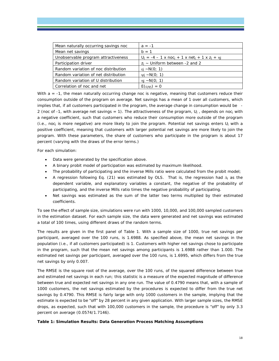| Mean naturally occurring savings noc | $a = -1$                                                                           |
|--------------------------------------|------------------------------------------------------------------------------------|
| Mean net savings                     | $b = 1$                                                                            |
| Unobservable program attractiveness  | $U_i = -4 - 1$ x noc <sub>i</sub> + 1 x net <sub>i</sub> + 1 x z <sub>i</sub> + ni |
| Participation driver                 | $z_i$ ~ Uniform between -2 and 2                                                   |
| Random variation of noc distribution | $\epsilon$ i ~N(0; 1)                                                              |
| Random variation of net distribution | $\psi i \sim N(0; 1)$                                                              |
| Random variation of U distribution   | $\pi i \sim N(0; 1)$                                                               |
| Correlation of noc and net           | $E(\epsilon_i \psi_i) = 0$                                                         |

With a = -1, the mean naturally occurring change noc is negative, meaning that customers reduce their consumption outside of the program on average. Net savings has a mean of 1 over all customers, which implies that, if all customers participated in the program, the average change in consumption would be 2 (noc of -1, with average net savings = 1). The attractiveness of the program,  $U_i$ , depends on noci with a negative coefficient, such that customers who reduce their consumption more outside of the program (i.e., nocj is more negative) are more likely to join the program. Potential net savings enters Uj with a positive coefficient, meaning that customers with larger potential net savings are more likely to join the program. With these parameters, the share of customers who participate in the program is about 17 percent (varying with the draws of the error terms.)

For each simulation:

- Data were generated by the specification above.
- A binary probit model of participation was estimated by maximum likelihood.
- The probability of participating and the inverse Mills ratio were calculated from the probit model;
- A regression following Eq. (21) was estimated by OLS. That is, the regression had  $\Delta_i$  as the dependent variable, and explanatory variables a constant, the negative of the probability of participating, and the inverse Mills ratio times the negative probability of participating.
- Net savings was estimated as the sum of the latter two terms multiplied by their estimated coefficients.

To see the effect of sample size, simulations were run with 1000, 10,000, and 100,000 sampled customers in the estimation dataset. For each sample size, the data were generated and net savings was estimated a total of 100 times, using different draws of the random terms.

The results are given in the first panel of Table 1. With a sample size of 1000, true net savings per participant, averaged over the 100 runs, is 1.6988. As specified above, the mean net savings in the population (i.e., if all customers participated) is 1. Customers with higher net savings chose to participate in the program, such that the mean net savings among participants is 1.6988 rather than 1.000. The estimated net savings per participant, averaged over the 100 runs, is 1.6995, which differs from the true net savings by only 0.007.

The RMSE is the square root of the average, over the 100 runs, of the squared difference between true and estimated net savings in each run; this statistic is a measure of the expected magnitude of difference between true and expected net savings in any one run. The value of 0.4790 means that, with a sample of 1000 customers, the net savings estimated by the procedures is expected to differ from the true net savings by 0.4790. This RMSE is fairly large with only 1000 customers in the sample, implying that the estimate is expected to be "off" by 28 percent in any given application. With larger sample sizes, the RMSE drops, as expected, such that with 100,000 customers in the sample, the procedure is "off" by only 3.3 percent on average (0.0574/1.7146).

#### **Table 1: Simulation Results: Data Generation Process Matching Assumptions**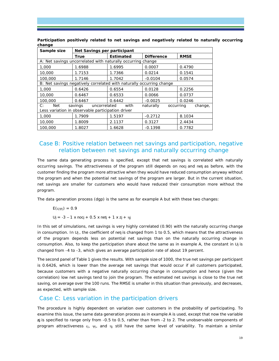| Sample size                                                                                                                                   | Net Savings per participant                                          |                  |                   |             |  |
|-----------------------------------------------------------------------------------------------------------------------------------------------|----------------------------------------------------------------------|------------------|-------------------|-------------|--|
|                                                                                                                                               | True                                                                 | <b>Estimated</b> | <b>Difference</b> | <b>RMSE</b> |  |
| A: Net savings uncorrelated with naturally occurring change                                                                                   |                                                                      |                  |                   |             |  |
| 1,000                                                                                                                                         | 1.6988                                                               | 1.6995           | 0.0007            | 0.4790      |  |
| 10,000                                                                                                                                        | 1.7153                                                               | 1.7366           | 0.0214            | 0.1541      |  |
| 100,000                                                                                                                                       | 1.7146                                                               | 1.7042           | $-0.0104$         | 0.0574      |  |
|                                                                                                                                               | B: Net savings negatively correlated with naturally occurring change |                  |                   |             |  |
| 1,000                                                                                                                                         | 0.6426                                                               | 0.6554           | 0.0128            | 0.2256      |  |
| 10,000                                                                                                                                        | 0.6467                                                               | 0.6533           | 0.0066            | 0.0737      |  |
| 100,000                                                                                                                                       | 0.6467                                                               | 0.6442           | $-0.0025$         | 0.0246      |  |
| C:<br><b>Net</b><br>with<br>naturally<br>savings<br>uncorrelated<br>occurring<br>change,<br>Less variation in observable participation driver |                                                                      |                  |                   |             |  |
| 1,000                                                                                                                                         | 1.7909                                                               | 1.5197           | $-0.2712$         | 8.1034      |  |
| 10,000                                                                                                                                        | 1.8009                                                               | 2.1137           | 0.3127            | 2.4434      |  |
| 100,000                                                                                                                                       | 1.8027                                                               | 1.6628           | $-0.1398$         | 0.7782      |  |

**Participation positively related to net savings and negatively related to naturally occurring change** 

## Case B: Positive relation between net savings and participation, negative relation between net savings and naturally occurring change

The same data generating process is specified, except that net savings is correlated with naturally occurring savings. The attractiveness of the program still depends on nocj and netj as before, with the customer finding the program more attractive when they would have reduced consumption anyway without the program and when the potential net savings of the program are larger. But in the current situation, net savings are smaller for customers who would have reduced their consumption more without the program.

The data generation process (dgp) is the same as for example A but with these two changes:

 $E(\epsilon_i \psi_i) = 0.9$ 

 $Uj = -3 - 1$  x nocj + 0.5 x netj + 1 x zj +  $\eta j$ 

In this set of simulations, net savings is very highly correlated (0.90) with the naturally occurring change in consumption. In Uj, the coefficient of netj is changed from 1 to 0.5, which means that the attractiveness of the program depends less on potential net savings than on the naturally occurring change in consumption. Also, to keep the participation share about the same as in example A, the constant in Uj is changed from -4 to -3, which gives an average participation rate of about 19 percent.

The second panel of Table 1 gives the results. With sample size of 1000, the true net savings per participant is 0.6426, which is lower than the average net savings that would occur if all customers participated, because customers with a negative naturally occurring change in consumption and hence (given the correlation) low net savings tend to join the program. The estimated net savings is close to the true net saving, on average over the 100 runs. The RMSE is smaller in this situation than previously, and decreases, as expected, with sample size.

#### Case C: Less variation in the participation drivers

The procedure is highly dependent on variation over customers in the probability of participating. To examine this issue, the same data generation process as in example A is used, except that now the variable **zj** is specified to range only from -0.5 to 0.5, rather than from -2 to 2. The unobservable components of program attractiveness  $\varepsilon_j$ ,  $\psi_j$ , and  $\eta_j$  still have the same level of variability. To maintain a similar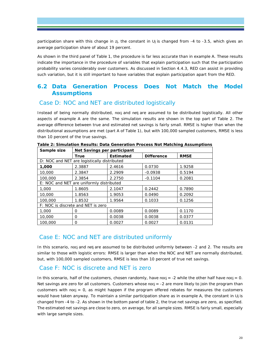participation share with this change in zj, the constant in Uj is changed from -4 to -3.5, which gives an average participation share of about 19 percent.

As shown in the third panel of Table 1, the procedure is far less accurate than in example A. These results indicate the importance in the procedure of variables that explain participation such that the participation probability varies considerably over customers. As discussed in Section 4.4.3, RED can assist in providing such variation, but it is still important to have variables that explain participation apart from the RED.

## **6.2 Data Generation Process Does Not Match the Model Assumptions**

#### Case D: NOC and NET are distributed logistically

Instead of being normally distributed, nocj and netj are assumed to be distributed logistically. All other aspects of example A are the same. The simulation results are shown in the top part of Table 2. The average difference between true and estimated net savings is fairly small. RMSE is higher than when the distributional assumptions are met (part A of Table 1), but with 100,000 sampled customers, RMSE is less than 10 percent of the true savings.

| Sample size                                 | Net Savings per participant |                  |                   |             |  |
|---------------------------------------------|-----------------------------|------------------|-------------------|-------------|--|
|                                             | True                        | <b>Estimated</b> | <b>Difference</b> | <b>RMSE</b> |  |
| D: NOC and NET are logistically distributed |                             |                  |                   |             |  |
| 1,000                                       | 2.3887                      | 2.4616           | 0.0730            | 1.9258      |  |
| 10,000                                      | 2.3847                      | 2.2909           | $-0.0938$         | 0.5194      |  |
| 100,000                                     | 2.3854                      | 2.2750           | $-0.1104$         | 0.2081      |  |
| E: NOC and NET are uniformly distributed    |                             |                  |                   |             |  |
| 1,000                                       | 1.8605                      | 2.1047           | 0.2442            | 0.7890      |  |
| 10,000                                      | 1.8563                      | 1.9053           | 0.0490            | 0.2092      |  |
| 100,000                                     | 1.8532                      | 1.9564           | 0.1033            | 0.1256      |  |
| F: NOC is discrete and NET is zero          |                             |                  |                   |             |  |
| 1,000                                       | 0                           | 0.0089           | 0.0089            | 0.1170      |  |
| 10,000                                      | 0                           | 0.0038           | 0.0038            | 0.0377      |  |
| 100,000                                     | $\mathbf 0$                 | 0.0027           | 0.0027            | 0.0131      |  |

**Table 2: Simulation Results: Data Generation Process Not Matching Assumptions** 

#### Case E: NOC and NET are distributed uniformly

In this scenario, nocj and netj are assumed to be distributed uniformly between -2 and 2. The results are similar to those with logistic errors: RMSE is larger than when the NOC and NET are normally distributed, but, with 100,000 sampled customers, RMSE is less than 10 percent of true net savings.

#### Case F: NOC is discrete and NET is zero

In this scenario, half of the customers, chosen randomly, have nocj = -2 while the other half have nocj = 0. Net savings are zero for all customers. Customers whose nocj = -2 are more likely to join the program than customers with nocj =  $0$ , as might happen if the program offered rebates for measures the customers would have taken anyway. To maintain a similar participation share as in example A, the constant in Uj is changed from -4 to -2. As shown in the bottom panel of table 2, the true net savings are zero, as specified. The estimated net savings are close to zero, on average, for all sample sizes. RMSE is fairly small, especially with large sample sizes.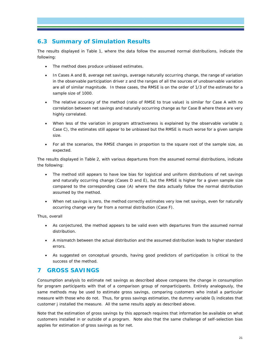# **6.3 Summary of Simulation Results**

The results displayed in Table 1, where the data follow the assumed normal distributions, indicate the following:

- The method does produce unbiased estimates.
- In Cases A and B, average net savings, average naturally occurring change, the range of variation in the observable participation driver z and the ranges of all the sources of unobservable variation are all of similar magnitude. In these cases, the RMSE is on the order of 1/3 of the estimate for a sample size of 1000.
- The relative accuracy of the method (ratio of RMSE to true value) is similar for Case A with no correlation between net savings and naturally occurring change as for Case B where these are very highly correlated.
- When less of the variation in program attractiveness is explained by the observable variable  $z_i$ Case C), the estimates still appear to be unbiased but the RMSE is much worse for a given sample size.
- For all the scenarios, the RMSE changes in proportion to the square root of the sample size, as expected.

The results displayed in Table 2, with various departures from the assumed normal distributions, indicate the following:

- The method still appears to have low bias for logistical and uniform distributions of net savings and naturally occurring change (Cases D and E), but the RMSE is higher for a given sample size compared to the corresponding case (A) where the data actually follow the normal distribution assumed by the method.
- When net savings is zero, the method correctly estimates very low net savings, even for naturally occurring change very far from a normal distribution (Case F).

Thus, overall

- As conjectured, the method appears to be valid even with departures from the assumed normal distribution.
- A mismatch between the actual distribution and the assumed distribution leads to higher standard errors.
- As suggested on conceptual grounds, having good predictors of participation is critical to the success of the method.

# **7 GROSS SAVINGS**

Consumption analysis to estimate net savings as described above compares the change in consumption for program participants with that of a comparison group of nonparticipants. Entirely analogously, the same methods may be used to estimate gross savings, comparing customers who install a particular measure with those who do not. Thus, for gross savings estimation, the dummy variable  $D_i$  indicates that customer j installed the measure. All the same results apply as described above.

Note that the estimation of gross savings by this approach requires that information be available on what customers installed in or outside of a program. Note also that the same challenge of self-selection bias applies for estimation of gross savings as for net.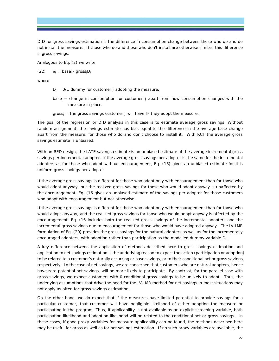DID for gross savings estimation is the difference in consumption change between those who do and do not install the measure. If those who do and those who don't install are otherwise similar, this difference is gross savings.

Analogous to Eq. (2) we write

(22)  $\Delta j = \text{base}_j - \text{gross}_jD_j$ 

where

 $D_j = 0/1$  dummy for customer j adopting the measure.

base<sub>i</sub> = change in consumption for customer *j* apart from how consumption changes with the measure in place.

 $qross<sub>i</sub> = the gross savings customer *j* will have IF they adopt the measure.$ 

The goal of the regression or DID analysis in this case is to estimate average gross savings. Without random assignment, the savings estimate has bias equal to the difference in the average base change apart from the measure, for those who do and don't choose to install it. With RCT the average gross savings estimate is unbiased.

With an RED design, the LATE savings estimate is an unbiased estimate of the average incremental gross savings per incremental adopter. If the average gross savings per adopter is the same for the incremental adopters as for those who adopt without encouragement, Eq. (16) gives an unbiased estimate for this uniform gross savings per adopter.

If the average gross savings is different for those who adopt only with encouragement than for those who would adopt anyway, but the realized gross savings for those who would adopt anyway is unaffected by the encouragement, Eq. (16 gives an unbiased estimate of the savings per adopter for those customers who adopt with encouragement but not otherwise.

If the average gross savings is different for those who adopt only with encouragement than for those who would adopt anyway, and the realized gross savings for those who would adopt anyway is affected by the encouragement, Eq. (16 includes both the realized gross savings of the incremental adopters and the incremental gross savings due to encouragement for those who would have adopted anyway. The IV-IMR formulation of Eq. (20) provides the gross savings for the natural adopters as well as for the incrementally encouraged adopters, with adoption rather than participation as the modelled dummy variable Dj.

A key difference between the application of methods described here to gross savings estimation and application to net savings estimation is the underlying reason to expect the action (participation or adoption) to be related to a customer's naturally occurring or base savings, or to their conditional net or gross savings, respectively. In the case of net savings, we are concerned that customers who are natural adopters, hence have zero potential net savings, will be more likely to participate. By contrast, for the parallel case with gross savings, we expect customers with 0 conditional gross savings to be unlikely to adopt. Thus, the underlying assumptions that drive the need for the IV-IMR method for net savings in most situations may not apply as often for gross savings estimation.

On the other hand, we do expect that if the measures have limited potential to provide savings for a particular customer, that customer will have negligible likelihood of either adopting the measure or participating in the program. Thus, if applicability is not available as an explicit screening variable, both participation likelihood and adoption likelihood will be related to the conditional net or gross savings. In these cases, if good proxy variables for measure applicability can be found, the methods described here may be useful for gross as well as for net savings estimation. If no such proxy variables are available, the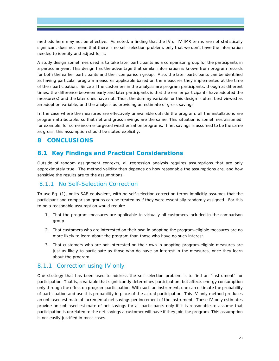methods here may not be effective. As noted, a finding that the IV or IV-IMR terms are not statistically significant does not mean that there is no self-selection problem, only that we don't have the information needed to identify and adjust for it.

A study design sometimes used is to take later participants as a comparison group for the participants in a particular year. This design has the advantage that similar information is known from program records for both the earlier participants and their comparison group. Also, the later participants can be identified as having particular program measures applicable based on the measures they implemented at the time of their participation. Since all the customers in the analysis are program participants, though at different times, the difference between early and later participants is that the earlier participants have adopted the measure(s) and the later ones have not. Thus, the dummy variable for this design is often best viewed as an adoption variable, and the analysis as providing an estimate of gross savings.

In the case where the measures are effectively unavailable outside the program, all the installations are program-attributable, so that net and gross savings are the same. This situation is sometimes assumed, for example, for some income-targeted weatherization programs. If net savings is assumed to be the same as gross, this assumption should be stated explicitly.

## **8 CONCLUSIONS**

## **8.1 Key Findings and Practical Considerations**

Outside of random assignment contexts, all regression analysis requires assumptions that are only approximately true. The method validity then depends on how reasonable the assumptions are, and how sensitive the results are to the assumptions.

## 8.1.1 No Self-Selection Correction

To use Eq. (1), or its SAE equivalent, with no self-selection correction terms implicitly assumes that the participant and comparison groups can be treated as if they were essentially randomly assigned. For this to be a reasonable assumption would require

- 1. That the program measures are applicable to virtually all customers included in the comparison group.
- 2. That customers who are interested on their own in adopting the program-eligible measures are no more likely to learn about the program than those who have no such interest.
- 3. That customers who are not interested on their own in adopting program-eligible measures are just as likely to participate as those who do have an interest in the measures, once they learn about the program.

#### 8.1.1 Correction using IV only

One strategy that has been used to address the self-selection problem is to find an "instrument" for participation. That is, a variable that significantly determines participation, but affects energy consumption only through the effect on program participation. With such an instrument, one can estimate the probability of participation and use this probability in place of the actual participation. This IV-only method produces an unbiased estimate of incremental net savings per increment of the instrument. These IV-only estimates provide an unbiased estimate of net savings for all participants only if it is reasonable to assume that participation is unrelated to the net savings a customer will have if they join the program. This assumption is not easily justified in most cases.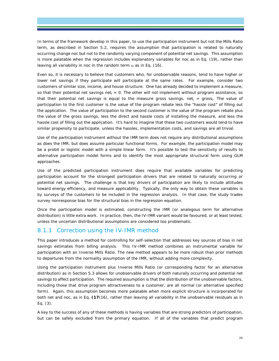In terms of the framework develop in this paper, to use the participation instrument but not the Mills Ratio term, as described in Section 5.2, requires the assumption that participation is related to naturally occurring change noc but not to the randomly varying component of potential net savings. This assumption is more palatable when the regression includes explanatory variables for noc as in Eq. (19), rather than leaving all variability in noc in the random term  $\varepsilon_j$  as in Eq. (16).

Even so, it is necessary to believe that customers who, for unobservable reasons, tend to have higher or lower net savings if they participate will participate at the same rates. For example, consider two customers of similar size, income, and house structure. One has already decided to implement a measure, so that their potential net savings net<sub>i</sub> = 0. The other will not implement without program assistance, so that their potential net savings is equal to the measure gross savings, net  $i = \text{gross}_i$ . The value of participation to the first customer is the value of the program rebate less the "hassle cost" of filling out the application. The value of participation to the second customer is the value of the program rebate plus the value of the gross savings, less the direct and hassle costs of installing the measure, and less the hassle cost of filling out the application. It's hard to imagine that these two customers would tend to have similar propensity to participate, unless the hassles, implementation costs, and savings are all trivial.

Use of the participation instrument without the IMR term does not require any distributional assumptions as does the IMR, but does assume particular functional forms. For example, the participation model may be a probit or logistic model with a simple linear form. It's possible to test the sensitivity of results to alternative participation model forms and to identify the most appropriate structural form using GLM approaches.

Use of the predicted participation instrument does require that available variables for predicting participation account for the strongest participation drivers that are related to naturally occurring or potential net savings. The challenge is that key drivers of participation are likely to include attitudes toward energy efficiency, and measure applicability. Typically, the only way to obtain these variables is by surveys of the customers to be included in the regression analysis. In that case, the study trades survey nonresponse bias for the structural bias in the regression equation.

Once the participation model is estimated, constructing the IMR (or analogous term for alternative distribution) is little extra work. In practice, then, the IV-IMR variant would be favoured, or at least tested, unless the uncertain distributional assumptions are considered too problematic.

## 8.1.1 Correction using the IV-IMR method

This paper introduces a method for controlling for self-selection that addresses key sources of bias in net savings estimates from billing analysis. This IV-IMR method combines an instrumental variable for participation with an Inverse Mills Ratio. The new method appears to be more robust than prior methods to departures from the normality assumption of the IMR, without adding more complexity.

Using the participation instrument plus Inverse Mills Ratio (or corresponding factor for an alternative distribution) as in Section 5.3 allows for unobservable drivers of both naturally occurring and potential net savings to affect participation. The required assumption is that the distribution of the unobservable factors, including those that drive program attractiveness to a customer, are all normal (or alternative specified form). Again, this assumption becomes more palatable when more explicit structure is incorporated for both net and noc, as in Eq. **(17**(16), rather than leaving all variability in the unobservable residuals as in Eq. (3).

A key to the success of any of these methods is having variables that are strong predictors of participation, but can be safely excluded from the primary equation. If all of the variables that predict program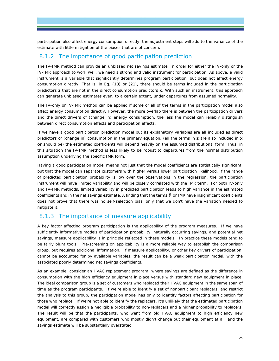participation also affect energy consumption directly, the adjustment steps will add to the variance of the estimate with little mitigation of the biases that are of concern.

## 8.1.2 The importance of good participation prediction

The IV-IMR method can provide an unbiased net savings estimate. In order for either the IV-only or the IV-IMR approach to work well, we need a strong and valid instrument for participation. As above, a valid instrument is a variable that significantly determines program participation, but does not affect energy consumption directly. That is, in Eq. (18) or (21), there should be terms included in the participation predictors **z** that are not in the direct consumption predictors **x.** With such an instrument, this approach can generate unbiased estimates even, to a certain extent, under departures from assumed normality.

The IV-only or IV-IMR method can be applied if some or all of the terms in the participation model also affect energy consumption directly, However, the more overlap there is between the participation drivers and the direct drivers of (change in) energy consumption, the less the model can reliably distinguish between direct consumption effects and participation effects.

If we have a good participation prediction model but its explanatory variables are all included as direct predictors of (change in) consumption in the primary equation, (all the terms in **z** are also included in **x or** should be) the estimated coefficients will depend heavily on the assumed distributional form. Thus, in this situation the IV-IMR method is less likely to be robust to departures from the normal distribution assumption underlying the specific IMR form.

Having a good participation model means not just that the model coefficients are statistically significant, but that the model can separate customers with higher versus lower participation likelihood. If the range of predicted participation probability is low over the observations in the regression, the participation instrument will have limited variability and will be closely correlated with the IMR term. For both IV-only and IV-IMR methods, limited variability in predicted participation leads to high variance in the estimated coefficients and in the net savings estimate. A finding that the terms  $\hat{D}$  or IMR have insignificant coefficients does not prove that there was no self-selection bias, only that we don't have the variation needed to mitigate it.

# 8.1.3 The importance of measure applicability

A key factor affecting program participation is the applicability of the program measures. If we have sufficiently informative models of participation probability, naturally occurring savings, and potential net savings, measure applicability is in principle reflected in these models. In practice these models tend to be fairly blunt tools. Pre-screening on applicability is a more reliable way to establish the comparison group, but requires additional information. If measure applicability, or other key drivers of participation, cannot be accounted for by available variables, the result can be a weak participation model, with the associated poorly determined net savings coefficients.

As an example, consider an HVAC replacement program, where savings are defined as the difference in consumption with the high efficiency equipment in place versus with standard new equipment in place. The ideal comparison group is a set of customers who replaced their HVAC equipment in the same span of time as the program participants. If we're able to identify a set of nonparticipant replacers, and restrict the analysis to this group, the participation model has only to identify factors affecting participation for those who replace. If we're not able to identify the replacers, it's unlikely that the estimated participation model will correctly assign a negligible probability to non-replacers and a higher probability to replacers. The result will be that the participants, who went from old HVAC equipment to high efficiency new equipment, are compared with customers who mostly didn't change out their equipment at all, and the savings estimate will be substantially overstated.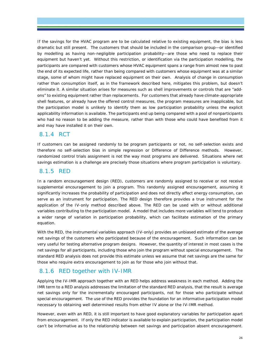If the savings for the HVAC program are to be calculated relative to existing equipment, the bias is less dramatic but still present. The customers that should be included in the comparison group—or identified by modelling as having non-negligible participation probability—are those who need to replace their equipment but haven't yet. Without this restriction, or identification via the participation modelling, the participants are compared with customers whose HVAC equipment spans a range from almost new to past the end of its expected life, rather than being compared with customers whose equipment was at a similar stage, some of whom might have replaced equipment on their own. Analysis of change in consumption rather than consumption itself, as in the framework described here, mitigates this problem, but doesn't eliminate it. A similar situation arises for measures such as shell improvements or controls that are "addons" to existing equipment rather than replacements. For customers that already have climate-appropriate shell features, or already have the offered control measures, the program measures are inapplicable, but the participation model is unlikely to identify them as low participation probability unless the explicit applicability information is available. The participants end up being compared with a pool of nonparticipants who had no reason to be adding the measure, rather than with those who could have benefited from it and may have installed it on their own.

#### 8.1.4 RCT

If customers can be assigned randomly to be program participants or not, no self-selection exists and therefore no self-selection bias in simple regression or Difference of Difference methods. However, randomized control trials assignment is not the way most programs are delivered. Situations where net savings estimation is a challenge are precisely those situations where program participation is voluntary.

### 8.1.5 RED

In a random encouragement design (RED), customers are randomly assigned to receive or not receive supplemental encouragement to join a program. This randomly assigned encouragement, assuming it significantly increases the probability of participation and does not directly affect energy consumption, can serve as an instrument for participation. The RED design therefore provides a true instrument for the application of the IV-only method described above. The RED can be used with or without additional variables contributing to the participation model. A model that includes more variables will tend to produce a wider range of variation in participation probability, which can facilitate estimation of the primary equation.

With the RED, the instrumental variables approach (IV-only) provides an unbiased estimate of the average net savings of the customers who participated because of the encouragement. Such information can be very useful for testing alternative program designs. However, the quantity of interest in most cases is the net savings for all participants, including those who join the program without special encouragement. The standard RED analysis does not provide this estimate unless we assume that net savings are the same for those who require extra encouragement to join as for those who join without that.

# 8.1.6 RED together with IV-IMR

Applying the IV-IMR approach together with an RED helps address weakness in each method. Adding the IMR term to a RED analysis addresses the limitation of the standard RED analysis, that the result is average net savings only for the incrementally encouraged participants, not for those who participate without special encouragement. The use of the RED provides the foundation for an informative participation model necessary to obtaining well determined results from either IV alone or the IV-IMR method.

However, even with an RED, it is still important to have good explanatory variables for participation apart from encouragement. If only the RED indicator is available to explain participation, the participation model can't be informative as to the relationship between net savings and participation absent encouragement.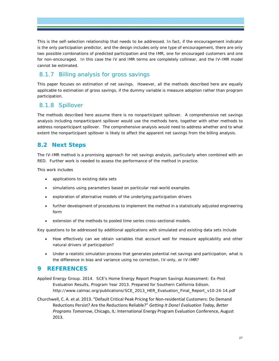This is the self-selection relationship that needs to be addressed. In fact, if the encouragement indicator is the only participation predictor, and the design includes only one type of encouragement, there are only two possible combinations of predicted participation and the IMR, one for encouraged customers and one for non-encouraged. In this case the IV and IMR terms are completely collinear, and the IV-IMR model cannot be estimated.

# 8.1.7 Billing analysis for gross savings

This paper focuses on estimation of net savings. However, all the methods described here are equally applicable to estimation of gross savings, if the dummy variable is measure adoption rather than program participation.

## 8.1.8 Spillover

The methods described here assume there is no nonparticipant spillover. A comprehensive net savings analysis including nonparticipant spillover would use the methods here, together with other methods to address nonparticipant spillover. The comprehensive analysis would need to address whether and to what extent the nonparticipant spillover is likely to affect the apparent net savings from the billing analysis.

# **8.2 Next Steps**

The IV-IMR method is a promising approach for net savings analysis, particularly when combined with an RED. Further work is needed to assess the performance of the method in practice.

This work includes

- applications to existing data sets
- simulations using parameters based on particular real-world examples
- exploration of alternative models of the underlying participation drivers
- further development of procedures to implement the method in a statistically adjusted engineering form
- extension of the methods to pooled time series cross-sectional models.

Key questions to be addressed by additional applications with simulated and existing data sets include

- How effectively can we obtain variables that account well for measure applicability and other natural drivers of participation?
- Under a realistic simulation process that generates potential net savings and participation, what is the difference in bias and variance using no correction, IV-only, or IV-IMR?

#### **9 REFERENCES**

- Applied Energy Group. 2014. SCE's Home Energy Report Program Savings Assessment: Ex-Post Evaluation Results, Program Year 2013. Prepared for Southern California Edison. http://www.calmac.org/publications/SCE\_2013\_HER\_Evaluation\_Final\_Report\_v10-24-14.pdf
- Churchwell, C. A. et al. 2013. "Default Critical Peak Pricing for Non‐residential Customers: Do Demand Reductions Persist? Are the Reductions Reliable?" *Getting It Done! Evaluation Today, Better Programs Tomorrow*, Chicago, IL: International Energy Program Evaluation Conference, August 2013.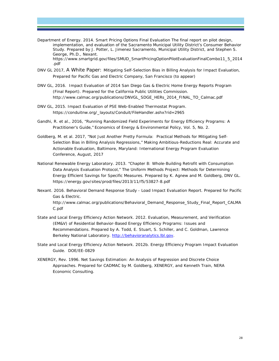- Department of Energy. 2014. Smart Pricing Options Final Evaluation The final report on pilot design, implementation, and evaluation of the Sacramento Municipal Utility District's Consumer Behavior Study. Prepared by J. Potter, L. Jimenez Sacramento, Municipal Utility District, and Stephen S. George, Ph.D., Nexant. https://www.smartgrid.gov/files/SMUD\_SmartPricingOptionPilotEvaluationFinalCombo11\_5\_2014 .pdf
- DNV GL 2017, *A White Paper: Mitigating Self-Selection Bias in Billing Analysis for Impact Evaluation*, Prepared for Pacific Gas and Electric Company, San Francisco (*to appear*)
- DNV GL, 2016. Impact Evaluation of 2014 San Diego Gas & Electric Home Energy Reports Program (Final Report). Prepared for the California Public Utilities Commission. http://www.calmac.org/publications/DNVGL\_SDGE\_HERs\_2014\_FINAL\_TO\_Calmac.pdf
- DNV GL, 2015. Impact Evaluation of PSE Web-Enabled Thermostat Program. https://conduitnw.org/\_layouts/Conduit/FileHandler.ashx?rid=2965
- Gandhi, R. et al., 2016, "Running Randomized Field Experiments for Energy Efficiency Programs: A Practitioner's Guide," *Economics of Energy & Environmental Policy*, Vol. 5, No. 2.
- Goldberg, M. et al. 2017, "Not Just Another Pretty Formula: Practical Methods for Mitigating Self-Selection Bias in Billing Analysis Regressions," *Making Ambitious-Reductions Real: Accurate and Actionable Evaluation, Baltimore, Maryland: International Energy Program Evaluation Conference*, August, 2017
- National Renewable Energy Laboratory. 2013. "Chapter 8: Whole-Building Retrofit with Consumption Data Analysis Evaluation Protocol," *The Uniform Methods Project: Methods for Determining Energy Efficient Savings for Specific Measures.* Prepared by K. Agnew and M. Goldberg, DNV GL. https://energy.gov/sites/prod/files/2013/11/f5/53827-8.pdf
- Nexant. 2016*. Behavioral Demand Response Study Load Impact Evaluation Report*. Prepared for Pacific Gas & Electric.

http://www.calmac.org/publications/Behavioral\_Demand\_Response\_Study\_Final\_Report\_CALMA C.pdf

- State and Local Energy Efficiency Action Network. 2012. *Evaluation, Measurement, and Verification (EM&V) of Residential Behavior-Based Energy Efficiency Programs: Issues and Recommendations*. Prepared by A. Todd, E. Stuart, S. Schiller, and C. Goldman, Lawrence Berkeley National Laboratory. http://behavioranalytics.lbl.gov.
- State and Local Energy Efficiency Action Network. 2012b. *Energy Efficiency Program Impact Evaluation Guide*. DOE/EE-0829
- XENERGY, Rev. 1996. *Net Savings Estimation: An Analysis of Regression and Discrete Choice Approaches.* Prepared for CADMAC by M. Goldberg, XENERGY, and Kenneth Train, NERA Economic Consulting.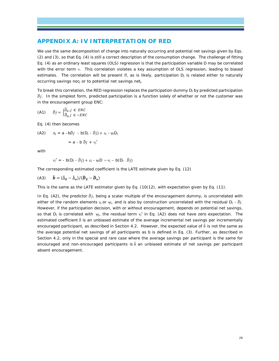#### **APPENDIX A: IV INTERPRETATION OF RED**

We use the same decomposition of change into naturally occurring and potential net savings given by Eqs. (2) and (3), so that Eq. (4) is still a correct description of the consumption change. The challenge of fitting Eq. (4) as an ordinary least squares (OLS) regression is that the participation variable D may be correlated with the error term v. This correlation violates a key assumption of OLS regression, leading to biased estimates. The correlation will be present if, as is likely, participation  $D_i$  is related either to naturally occurring savings noc<sub>i</sub> or to potential net savings net<sub>i</sub>.

To break this correlation, the RED regression replaces the participation dummy D<sub>i</sub> by predicted participation  $\hat{D}$ . In the simplest form, predicted participation is a function solely of whether or not the customer was in the encouragement group ENC:

$$
(A1) \qquad \widehat{D}j = \begin{cases} \overline{D}_E, j \in ENC \\ \overline{D}_0, j \in \sim ENC \end{cases}
$$

Eq. (4) then becomes

$$
(A2) \qquad \Delta_j = a - b \widehat{D} j - b (D_j - \widehat{D} j) + \epsilon_j - \psi_j D_j.
$$

$$
= a - b \widehat{D} j + v_j^*
$$

with

$$
v_j^* = -b(D_j - \widehat{D}j) + \epsilon_j - \psi_j D = v_j - b(D_j - \widehat{D}j)
$$

The corresponding estimated coefficient is the LATE estimate given by Eq. (12)

$$
(A3) \qquad \widehat{\boldsymbol{b}} = (\overline{\Delta}_{E} - \overline{\Delta}_{o})/(\overline{\boldsymbol{D}}_{E} - \overline{\boldsymbol{D}}_{o})
$$

This is the same as the LATE estimator given by Eq. (10(12), with expectation given by Eq. (11).

In Eq. (A2), the predictor  $\hat{D}i$ , being a scalar multiple of the encouragement dummy, is uncorrelated with either of the random elements  $\varepsilon_j$  or  $\psi_j$ , and is also by construction uncorrelated with the residual D<sub>i</sub> -  $\hat{D}_j$ . However, if the participation decision, with or without encouragement, depends on potential net savings, so that D<sub>i</sub> is correlated with  $\psi_i$ , the residual term  $v_i^*$  in Eq. (A2) does not have zero expectation. The estimated coefficient  $\hat{b}$  is an unbiased estimate of the average incremental net savings per incrementally encouraged participant, as described in Section 4.2. However, the expected value of  $\hat{b}$  is not the same as the average potential net savings of all participants as b is defined in Eq. (3). Further, as described in Section 4.2, only in the special and rare case where the average savings per participant is the same for encouraged and non-encouraged participants is  $\hat{b}$  an unbiased estimate of net savings per participant absent encouragement.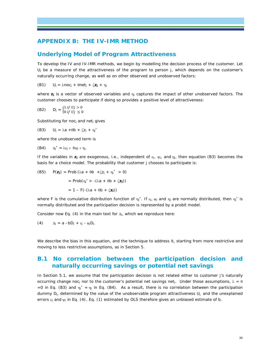#### **APPENDIX B: THE IV-IMR METHOD**

#### **Underlying Model of Program Attractiveness**

To develop the IV and IV-IMR methods, we begin by modelling the decision process of the customer. Let U<sub>j</sub> be a measure of the attractiveness of the program to person j, which depends on the customer's naturally occurring change, as well as on other observed and unobserved factors:

(B1)  $U_j = \lambda n o c_j + \theta n e t_j + \zeta z_j + \eta_j$ 

where  $z_j$  is a vector of observed variables and  $\eta_j$  captures the impact of other unobserved factors. The customer chooses to participate if doing so provides a positive level of attractiveness:

(B2) 
$$
D_j = \begin{cases} 1 & \text{if } Uj > 0 \\ 0 & \text{if } Uj \le 0 \end{cases}
$$

Substituting for noc<sub>i</sub> and net<sub>i</sub> gives

(B3)  $U_j = \lambda a + \theta b + \zeta z_j + \eta_j^*$ 

where the unobserved term is

(B4) 
$$
\eta_j^* = \lambda \epsilon_j + \theta \psi_j + \eta_j.
$$

If the variables in  $z_j$  are exogenous, i.e., independent of  $\varepsilon_j$ ,  $\psi_j$ , and  $\eta_j$ , then equation (B3) becomes the basis for a choice model. The probability that customer j chooses to participate is:

(B5) 
$$
P(\mathbf{z_j}) = \text{Prob}(\lambda a + \theta b + \zeta z_j + \eta_j^* > 0)
$$
  

$$
= \text{Prob}(\eta_j^* > -(\lambda a + \theta b + \zeta \mathbf{z_j}))
$$

$$
= 1 - F(-(\lambda a + \theta b + \zeta \mathbf{z_j}))
$$

where F is the cumulative distribution function of  $\eta_j^*$ . If  $\varepsilon_j$ ,  $\psi_j$  and  $\eta_j$  are normally distributed, then  $\eta_j^*$  is normally distributed and the participation decision is represented by a probit model.

Consider now Eq. (4) in the main text for  $\Delta i$ , which we reproduce here:

$$
(4) \qquad \Delta_j\,=\,a\,-bD_j\,+\,\epsilon_j\,\cdot\,\psi_jD_j.
$$

We describe the bias in this equation, and the technique to address it, starting from more restrictive and moving to less restrictive assumptions, as in Section 5.

## **B.1 No correlation between the participation decision and naturally occurring savings or potential net savings**

In Section 5.1, we assume that the participation decision is not related either to customer j's naturally occurring change noc<sub>i</sub> nor to the customer's potential net savings net<sub>i</sub>. Under those assumptions,  $\lambda = \theta$ =0 in Eq. (B3) and  $\eta_i^* = \eta_i$  in Eq. (B4). As a result, there is no correlation between the participation dummy  $D_j$ , determined by the value of the unobservable program attractiveness  $U_j$ , and the unexplained errors  $\varepsilon_i$  and  $\psi_i$  in Eq. (4). Eq. (1) estimated by OLS therefore gives an unbiased estimate of b.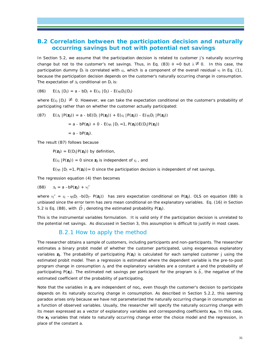## **B.2 Correlation between the participation decision and naturally occurring savings but not with potential net savings**

In Section 5.2, we assume that the participation decision is related to customer j's naturally occurring change but not to the customer's net savings. Thus, in Eq. (B3)  $\theta = 0$  but  $\lambda \neq 0$ . In this case, the participation dummy  $D_i$  is correlated with  $\varepsilon_i$ , which is a component of the overall residual  $v_i$  in Eq. (1), because the participation decision depends on the customer's naturally occurring change in consumption. The expectation of  $\Delta_i$  conditional on D<sub>i</sub> is:

(B6)  $E(\Delta_j | D_j) = a - bD_j + E(\varepsilon_j | D_j) - E(\psi_j D_j | D_j)$ 

where  $E(\epsilon_i | D_i) \neq 0$ . However, we can take the expectation conditional on the customer's probability of participating rather than on whether the customer actually participated:

(B7) 
$$
E(\Delta_j | P(\mathbf{z}_j)) = a - bE(D_j | P(\mathbf{z}_j)) + E(\varepsilon_j | P(\mathbf{z}_j)) - E(\psi_j D_j | P(\mathbf{z}_j))
$$

$$
= a - bP(\mathbf{z}_j) + 0 - E(\psi_j | D_j = 1, P(\mathbf{z}_j))E(D_j | P(\mathbf{z}_j))
$$

$$
= a - bP(\mathbf{z}_j).
$$

The result (B7) follows because

 $P(z_i) = E(D_i|P(z_i))$  by definition,

 $E(\varepsilon_j | P(\mathbf{z}_j)) = 0$  since  $\mathbf{z}_j$  is independent of  $\varepsilon_j$ , and

 $E(\psi_i | D_i = 1, P(\mathbf{z}_i)) = 0$  since the participation decision is independent of net savings.

The regression equation (4) then becomes

(B8) 
$$
\Delta_j = a - bP(\mathbf{z}_j) + v_j^*
$$

where  $v_i^* = \varepsilon_i - \psi_i D_i - b(D_i - P(z_i))$  has zero expectation conditional on P( $z_i$ ). OLS on equation (B8) is unbiased since the error term has zero mean conditional on the explanatory variables. Eq. (16) in Section 5.2 is Eq. (B8), with  $\hat{D}$  j denoting the estimated probability P( $z_j$ ).

This is the instrumental variables formulation. It is valid only if the participation decision is unrelated to the potential net savings. As discussed in Section 3, this assumption is difficult to justify in most cases.

#### B.2.1 How to apply the method

The researcher obtains a sample of customers, including participants and non-participants. The researcher estimates a binary probit model of whether the customer participated, using exogeneous explanatory variables **zj**. The probability of participating P(**zj**) is calculated for each sampled customer j using the estimated probit model. Then a regression is estimated where the dependent variable is the pre-to-post program change in consumption  $\Delta_i$  and the explanatory variables are a constant a and the probability of participating P( $z$ j). The estimated net savings per participant for the program is  $\hat{b}$ , the negative of the estimated coefficient of the probability of participating.

Note that the variables in **zj** are independent of nocj, even though the customer's decision to participate depends on its naturally occuring change in consumption. As described in Section 5.2.2, this seeming paradox arises only because we have not parameterized the naturally occurring change in consumption as a function of observed variables. Usually, the researcher will specify the naturally occurring change with its mean expressed as a vector of explanatory variables and corresponding coefficients  $x_i\alpha$ . In this case, the **xj** variables that relate to naturally occurring change enter the choice model and the regression, in place of the constant a.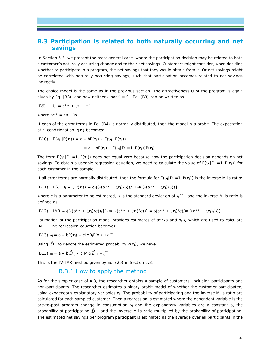## **B.3 Participation is related to both naturally occurring and net savings**

In Section 5.3, we present the most general case, where the participation decision may be related to both a customer's naturally occurring change and to their net savings. Customers might consider, when deciding whether to participate in a program, the net savings that they would obtain from it. Or net savings might be correlated with naturally occurring savings, such that participation becomes related to net savings indirectly.

The choice model is the same as in the previous section. The attractiveness U of the program is again given by Eq. (B3), and now neither  $\lambda$  nor  $\theta = 0$ . Eq. (B3) can be written as

(B9) 
$$
U_j = a^{**} + \zeta z_j + \eta_j^*
$$

where  $a^{**} = \lambda a + \theta b$ .

If each of the error terms in Eq. (B4) is normally distributed, then the model is a probit. The expectation of  $\Delta$ *j* conditional on P( $z$ *j*) becomes:

(B10) 
$$
E(\Delta_j | P(\mathbf{z}_j)) = a - bP(\mathbf{z}_j) - E(\psi_j | P(\mathbf{z}_j))
$$
  
=  $a - bP(\mathbf{z}_j) - E(\psi_j | D_j = 1, P(\mathbf{z}_j))P(\mathbf{z}_j)$ 

The term  $E(y_j|D_j = 1, P(z_j))$  does not equal zero because now the participation decision depends on net savings. To obtain a useable regression equation, we need to calculate the value of  $E(\psi_j|D_j = 1, P(\mathbf{z}_j))$  for each customer in the sample.

If all error terms are normally distributed, then the formula for  $E(y_j|D_j = 1, P(z_j))$  is the inverse Mills ratio:

(B11) 
$$
E(\psi_j|D_j = 1, P(\mathbf{z}_j)) = c \phi(-(a^{**} + \zeta \mathbf{z}_j)/\sigma))/(1-\Phi(-(a^{**} + \zeta \mathbf{z}_j)/\sigma))
$$

where c is a parameter to be estimated,  $\sigma$  is the standard deviation of  $\eta_j^{**}$ , and the inverse Mills ratio is defined as

(B12) 
$$
IMR = \phi(-(a^{**} + \zeta zj)/\sigma)/(1-\Phi(-(a^{**} + \zeta zj)/\sigma))] = \phi(a^{**} + \zeta zj)/\sigma)/\Phi((a^{**} + \zeta zj)/\sigma))
$$

Estimation of the participation model provides estimates of  $a**/\sigma$  and  $b/\sigma$ , which are used to calculate IMRj. The regression equation becomes:

 $(B13)$   $\Delta$ **j** = a – bP(**zj**) – cIMR<sub>i</sub>P(**zj**) +v<sub>i</sub><sup>\*\*</sup>

Using  $\hat{D}_j$  to denote the estimated probability P( $z_j$ ), we have

(B13)  $\Delta j = a - b \hat{D} j - c \text{IMR}_j \hat{D} j + v j^{**}$ 

This is the IV-IMR method given by Eq. (20) in Section 5.3.

#### B.3.1 How to apply the method

As for the simpler case of A.3, the researcher obtains a sample of customers, including participants and non-participants. The researcher estimates a binary probit model of whether the customer participated, using exogeneous explanatory variables **zj**. The probability of participating and the inverse Mills ratio are calculated for each sampled customer. Then a regression is estimated where the dependent variable is the pre-to-post program change in consumption  $\Delta_j$  and the explanatory variables are a constant a, the probability of participating  $\hat{D}$  j, and the inverse Mills ratio multiplied by the probability of participating. The estimated net savings per program participant is estimated as the average over all participants in the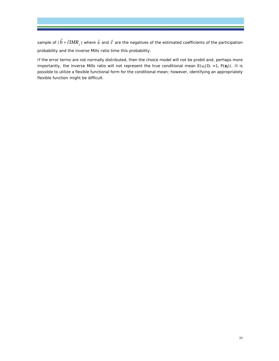sample of  $(\hat{b}+\hat{c}IMR_{_f})$  where  $\hat{b}$  and  $\hat{c}$  are the negatives of the estimated coefficients of the participation probability and the inverse Mills ratio time this probability.

If the error terms are not normally distributed, then the choice model will not be probit and, perhaps more importantly, the inverse Mills ratio will not represent the true conditional mean  $E(\psi_i|D_i = 1, P(\mathbf{z}_i))$ . It is possible to utilize a flexible functional form for the conditional mean; however, identifying an appropriately flexible function might be difficult.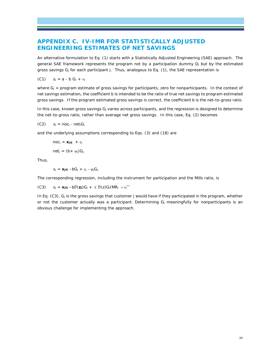## **APPENDIX C. IV-IMR FOR STATISTICALLY ADJUSTED ENGINEERING ESTIMATES OF NET SAVINGS**

An alternative formulation to Eq. (1) starts with a Statistically Adjusted Engineering (SAE) approach. The general SAE framework represents the program not by a participation dummy  $D_i$  but by the estimated gross savings Gj for each participant j. Thus, analogous to Eq. (1), the SAE representation is

(C1)  $\Delta_i = a - b G_i + v_i$ 

where  $G_j$  = program estimate of gross savings for participants, zero for nonparticipants. In the context of net savings estimation, the coefficient b is intended to be the ratio of true net savings to program estimated gross savings. If the program estimated gross savings is correct, the coefficient b is the net-to-gross ratio.

In this case, known gross savings  $G_i$  varies across participants, and the regression is designed to determine the net-to-gross ratio, rather than average net gross savings. In this case, Eq. (2) becomes

 $(C2)$   $\Delta_j$  = noc<sub>j</sub> - net<sub>j</sub>G<sub>j</sub>

and the underlying assumptions corresponding to Eqs. (3) and (18) are

$$
noc_j = \mathbf{x}_j \alpha + \epsilon_j
$$
  
net<sub>j</sub> = (b+ $\psi_j$ )G<sub>j</sub>.

Thus,

 $\Delta j = \mathbf{x}_j \alpha - bG_j + \varepsilon_j - \psi_j G_j$ .

The corresponding regression, including the instrument for participation and the Mills ratio, is

 $(C3)$   $\Delta_i = \mathbf{x}_j \alpha - b\widehat{D}(\mathbf{z}_j)G_i + c \widehat{D}(\mathbf{z})G_iIMR_i + v_i^{**}$ 

In Eq.  $(C3)$ ,  $G<sub>i</sub>$  is the gross savings that customer j would have if they participated in the program, whether or not the customer actually was a participant. Determining G<sub>i</sub> meaningfully for nonparticipants is an obvious challenge for implementing the approach.